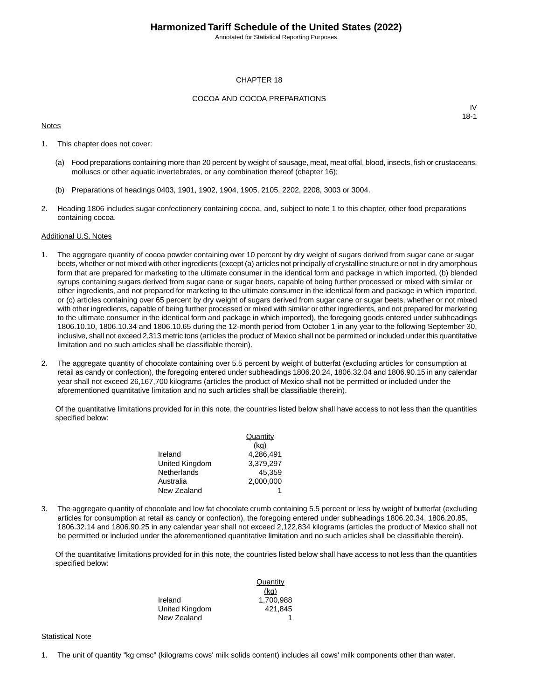Annotated for Statistical Reporting Purposes

#### CHAPTER 18

#### COCOA AND COCOA PREPARATIONS

#### **Notes**

IV 18-1

- 1. This chapter does not cover:
	- (a) Food preparations containing more than 20 percent by weight of sausage, meat, meat offal, blood, insects, fish or crustaceans, molluscs or other aquatic invertebrates, or any combination thereof (chapter 16);
	- (b) Preparations of headings 0403, 1901, 1902, 1904, 1905, 2105, 2202, 2208, 3003 or 3004.
- 2. Heading 1806 includes sugar confectionery containing cocoa, and, subject to note 1 to this chapter, other food preparations containing cocoa.

#### Additional U.S. Notes

- 1. The aggregate quantity of cocoa powder containing over 10 percent by dry weight of sugars derived from sugar cane or sugar beets, whether or not mixed with other ingredients (except (a) articles not principally of crystalline structure or not in dry amorphous form that are prepared for marketing to the ultimate consumer in the identical form and package in which imported, (b) blended syrups containing sugars derived from sugar cane or sugar beets, capable of being further processed or mixed with similar or other ingredients, and not prepared for marketing to the ultimate consumer in the identical form and package in which imported, or (c) articles containing over 65 percent by dry weight of sugars derived from sugar cane or sugar beets, whether or not mixed with other ingredients, capable of being further processed or mixed with similar or other ingredients, and not prepared for marketing to the ultimate consumer in the identical form and package in which imported), the foregoing goods entered under subheadings 1806.10.10, 1806.10.34 and 1806.10.65 during the 12-month period from October 1 in any year to the following September 30, inclusive, shall not exceed 2,313 metric tons (articles the product of Mexico shall not be permitted or included under this quantitative limitation and no such articles shall be classifiable therein).
- 2. The aggregate quantity of chocolate containing over 5.5 percent by weight of butterfat (excluding articles for consumption at retail as candy or confection), the foregoing entered under subheadings 1806.20.24, 1806.32.04 and 1806.90.15 in any calendar year shall not exceed 26,167,700 kilograms (articles the product of Mexico shall not be permitted or included under the aforementioned quantitative limitation and no such articles shall be classifiable therein).

Of the quantitative limitations provided for in this note, the countries listed below shall have access to not less than the quantities specified below:

|                | Quantity  |
|----------------|-----------|
|                | (kq)      |
| Ireland        | 4.286.491 |
| United Kingdom | 3.379.297 |
| Netherlands    | 45.359    |
| Australia      | 2.000.000 |
| New Zealand    |           |

3. The aggregate quantity of chocolate and low fat chocolate crumb containing 5.5 percent or less by weight of butterfat (excluding articles for consumption at retail as candy or confection), the foregoing entered under subheadings 1806.20.34, 1806.20.85, 1806.32.14 and 1806.90.25 in any calendar year shall not exceed 2,122,834 kilograms (articles the product of Mexico shall not be permitted or included under the aforementioned quantitative limitation and no such articles shall be classifiable therein).

Of the quantitative limitations provided for in this note, the countries listed below shall have access to not less than the quantities specified below:

|                | Quantity  |
|----------------|-----------|
|                | (kq)      |
| Ireland        | 1.700.988 |
| United Kingdom | 421.845   |
| New Zealand    |           |

#### **Statistical Note**

1. The unit of quantity "kg cmsc" (kilograms cows' milk solids content) includes all cows' milk components other than water.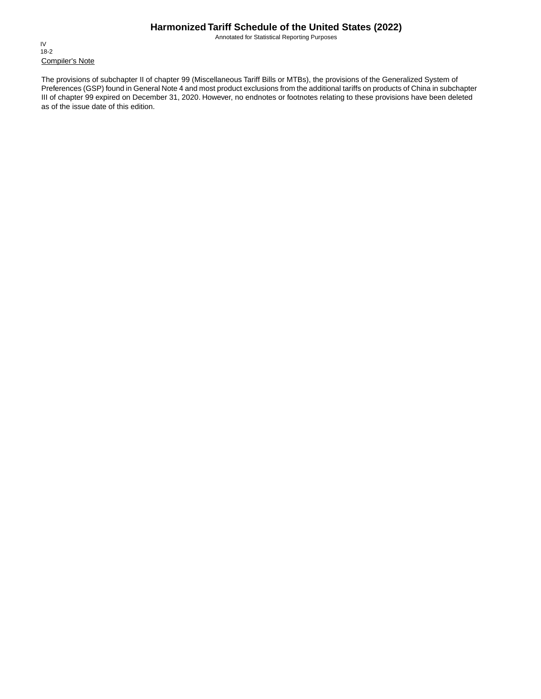Annotated for Statistical Reporting Purposes

Compiler's Note IV 18-2

The provisions of subchapter II of chapter 99 (Miscellaneous Tariff Bills or MTBs), the provisions of the Generalized System of Preferences (GSP) found in General Note 4 and most product exclusions from the additional tariffs on products of China in subchapter III of chapter 99 expired on December 31, 2020. However, no endnotes or footnotes relating to these provisions have been deleted as of the issue date of this edition.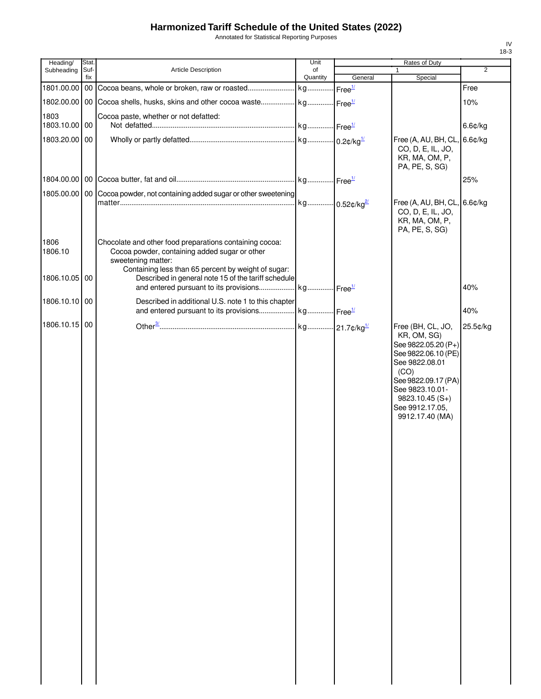Annotated for Statistical Reporting Purposes

| Heading/        | Stat        |                                                                                                                                                                                       | Unit           |                    | Rates of Duty                                                                                                                                                                                                |                |
|-----------------|-------------|---------------------------------------------------------------------------------------------------------------------------------------------------------------------------------------|----------------|--------------------|--------------------------------------------------------------------------------------------------------------------------------------------------------------------------------------------------------------|----------------|
| Subheading      | Suf-<br>fix | <b>Article Description</b>                                                                                                                                                            | of<br>Quantity | General            | 1<br>Special                                                                                                                                                                                                 | $\overline{2}$ |
| 1801.00.00 00   |             |                                                                                                                                                                                       |                | Free <sup>1/</sup> |                                                                                                                                                                                                              | Free           |
| 1802.00.00 00   |             | Cocoa shells, husks, skins and other cocoa waste kg Free <sup>1/</sup>                                                                                                                |                |                    |                                                                                                                                                                                                              | 10%            |
| 1803            |             | Cocoa paste, whether or not defatted:                                                                                                                                                 |                |                    |                                                                                                                                                                                                              |                |
| 1803.10.00 00   |             |                                                                                                                                                                                       |                |                    |                                                                                                                                                                                                              | 6.6¢/kg        |
| 1803.20.00      | 00          |                                                                                                                                                                                       |                |                    | Free (A, AU, BH, CL, 6.6¢/kg<br>CO, D, E, IL, JO,<br>KR, MA, OM, P,<br>PA, PE, S, SG)                                                                                                                        |                |
|                 |             |                                                                                                                                                                                       |                |                    |                                                                                                                                                                                                              | 25%            |
|                 |             | 1805.00.00   00   Cocoa powder, not containing added sugar or other sweetening                                                                                                        | kg 0.52¢/kg2   |                    | Free (A, AU, BH, CL, 6.6¢/kg                                                                                                                                                                                 |                |
|                 |             |                                                                                                                                                                                       |                |                    | CO, D, E, IL, JO,<br>KR, MA, OM, P,<br>PA, PE, S, SG)                                                                                                                                                        |                |
| 1806<br>1806.10 |             | Chocolate and other food preparations containing cocoa:<br>Cocoa powder, containing added sugar or other<br>sweetening matter:<br>Containing less than 65 percent by weight of sugar: |                |                    |                                                                                                                                                                                                              |                |
| 1806.10.05 00   |             | Described in general note 15 of the tariff schedule                                                                                                                                   |                |                    |                                                                                                                                                                                                              | 40%            |
| 1806.10.10 00   |             | Described in additional U.S. note 1 to this chapter<br>and entered pursuant to its provisions kg Free <sup>1/</sup>                                                                   |                |                    |                                                                                                                                                                                                              | 40%            |
| 1806.10.15 00   |             |                                                                                                                                                                                       |                |                    |                                                                                                                                                                                                              |                |
|                 |             |                                                                                                                                                                                       |                |                    | Free (BH, CL, JO,<br>KR, OM, SG)<br>See 9822.05.20 (P+)<br>See 9822.06.10 (PE)<br>See 9822.08.01<br>(CO)<br>See 9822.09.17 (PA)<br>See 9823.10.01-<br>$9823.10.45(S+)$<br>See 9912.17.05,<br>9912.17.40 (MA) | 25.5¢/kg       |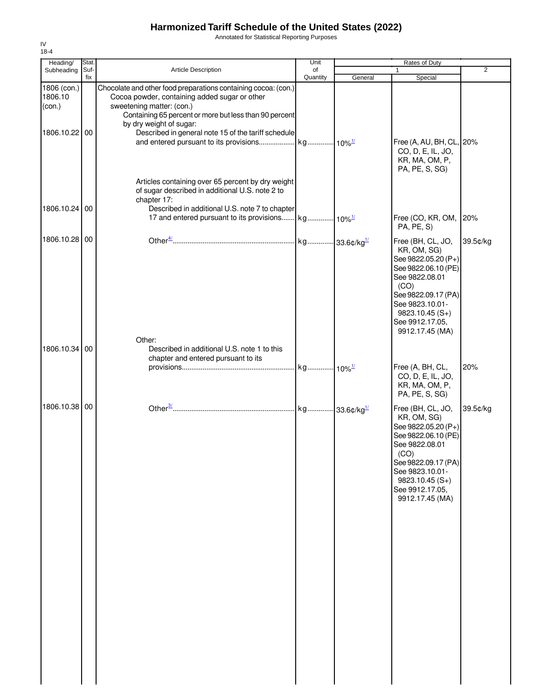Annotated for Statistical Reporting Purposes

| Heading/                                          | Stat.       |                                                                                                                                                                                                                                                                                          | Unit           |         | Rates of Duty                                                                                                                                                                                                |                |
|---------------------------------------------------|-------------|------------------------------------------------------------------------------------------------------------------------------------------------------------------------------------------------------------------------------------------------------------------------------------------|----------------|---------|--------------------------------------------------------------------------------------------------------------------------------------------------------------------------------------------------------------|----------------|
| Subheading                                        | Suf-<br>fix | <b>Article Description</b>                                                                                                                                                                                                                                                               | of<br>Quantity | General | $\mathbf{1}$<br>Special                                                                                                                                                                                      | $\overline{2}$ |
| 1806 (con.)<br>1806.10<br>(con.)<br>1806.10.22 00 |             | Chocolate and other food preparations containing cocoa: (con.)<br>Cocoa powder, containing added sugar or other<br>sweetening matter: (con.)<br>Containing 65 percent or more but less than 90 percent<br>by dry weight of sugar:<br>Described in general note 15 of the tariff schedule |                |         | Free (A, AU, BH, CL, 20%<br>CO, D, E, IL, JO,<br>KR, MA, OM, P,<br>PA, PE, S, SG)                                                                                                                            |                |
| 1806.10.24 00                                     |             | Articles containing over 65 percent by dry weight<br>of sugar described in additional U.S. note 2 to<br>chapter 17:<br>Described in additional U.S. note 7 to chapter                                                                                                                    |                |         | Free (CO, KR, OM,<br>PA, PE, S)                                                                                                                                                                              | 20%            |
| 1806.10.28 00                                     |             |                                                                                                                                                                                                                                                                                          |                |         | Free (BH, CL, JO,<br>KR, OM, SG)<br>See 9822.05.20 (P+)<br>See 9822.06.10 (PE)<br>See 9822.08.01<br>(CO)<br>See 9822.09.17 (PA)<br>See 9823.10.01-<br>$9823.10.45(S+)$<br>See 9912.17.05,<br>9912.17.45 (MA) | 39.5¢/kg       |
| 1806.10.34 00                                     |             | Other:<br>Described in additional U.S. note 1 to this<br>chapter and entered pursuant to its                                                                                                                                                                                             |                |         | Free (A, BH, CL,<br>CO, D, E, IL, JO,<br>KR, MA, OM, P,<br>PA, PE, S, SG)                                                                                                                                    | 20%            |
| 1806.10.38 00                                     |             |                                                                                                                                                                                                                                                                                          |                |         | Free (BH, CL, JO,<br>KR, OM, SG)<br>See 9822.05.20 (P+)<br>See 9822.06.10 (PE)<br>See 9822.08.01<br>(CO)<br>See 9822.09.17 (PA)<br>See 9823.10.01-<br>$9823.10.45(S+)$<br>See 9912.17.05,<br>9912.17.45 (MA) | 39.5¢/kg       |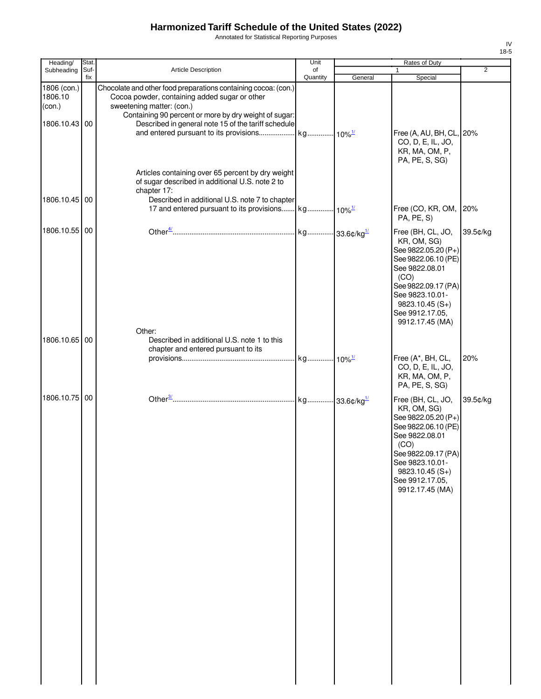Annotated for Statistical Reporting Purposes

| Heading/                         | Stat.       |                                                                                                                                                                       | Unit     |         | <b>Rates of Duty</b>                                                                                                                                                                                         |                |
|----------------------------------|-------------|-----------------------------------------------------------------------------------------------------------------------------------------------------------------------|----------|---------|--------------------------------------------------------------------------------------------------------------------------------------------------------------------------------------------------------------|----------------|
| Subheading                       | Suf-<br>fix | <b>Article Description</b>                                                                                                                                            | of       |         | 1                                                                                                                                                                                                            | $\overline{2}$ |
| 1806 (con.)<br>1806.10<br>(con.) |             | Chocolate and other food preparations containing cocoa: (con.)<br>Cocoa powder, containing added sugar or other<br>sweetening matter: (con.)                          | Quantity | General | Special                                                                                                                                                                                                      |                |
| 1806.10.43 00                    |             | Containing 90 percent or more by dry weight of sugar:<br>Described in general note 15 of the tariff schedule                                                          |          |         | Free (A, AU, BH, CL, 20%<br>CO, D, E, IL, JO,<br>KR, MA, OM, P,<br>PA, PE, S, SG)                                                                                                                            |                |
| 1806.10.45 00                    |             | Articles containing over 65 percent by dry weight<br>of sugar described in additional U.S. note 2 to<br>chapter 17:<br>Described in additional U.S. note 7 to chapter |          |         | Free (CO, KR, OM, 20%                                                                                                                                                                                        |                |
|                                  |             |                                                                                                                                                                       |          |         | PA, PE, S)                                                                                                                                                                                                   |                |
| 1806.10.55 00                    |             |                                                                                                                                                                       |          |         | Free (BH, CL, JO,<br>KR, OM, SG)<br>See 9822.05.20 (P+)<br>See 9822.06.10 (PE)<br>See 9822.08.01<br>(CO)<br>See 9822.09.17 (PA)<br>See 9823.10.01-<br>$9823.10.45(S+)$<br>See 9912.17.05,<br>9912.17.45 (MA) | 39.5¢/kg       |
| 1806.10.65 00                    |             | Other:<br>Described in additional U.S. note 1 to this                                                                                                                 |          |         |                                                                                                                                                                                                              |                |
|                                  |             | chapter and entered pursuant to its                                                                                                                                   |          |         |                                                                                                                                                                                                              |                |
|                                  |             |                                                                                                                                                                       |          |         | Free (A*, BH, CL,<br>CO, D, E, IL, JO,<br>KR, MA, OM, P,<br>PA, PE, S, SG)                                                                                                                                   | 20%            |
| 1806.10.75 00                    |             |                                                                                                                                                                       |          |         | Free (BH, CL, JO,<br>KR, OM, SG)<br>See 9822.05.20 (P+)<br>See 9822.06.10 (PE)<br>See 9822.08.01<br>(CO)<br>See 9822.09.17 (PA)<br>See 9823.10.01-<br>$9823.10.45(S+)$<br>See 9912.17.05,<br>9912.17.45 (MA) | 39.5¢/kg       |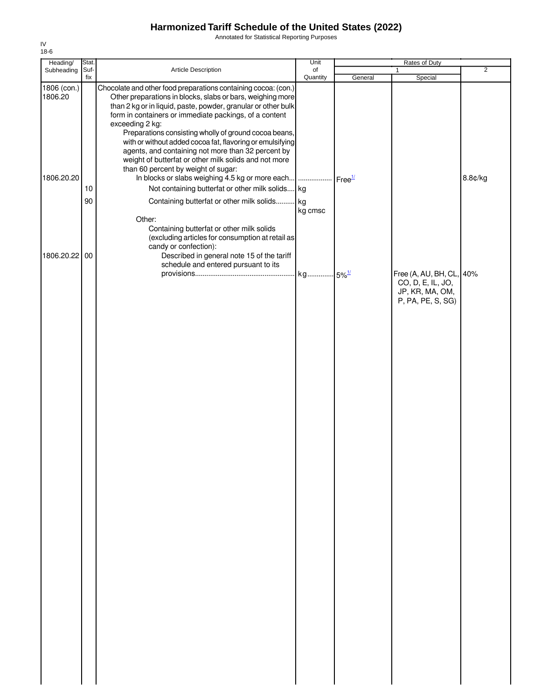Annotated for Statistical Reporting Purposes

| Heading/               | Stat.       |                                                                                                                                                                                                                                                                                                                                                                                                                                                                                                                 | Unit                |         | Rates of Duty                                                                         |                |
|------------------------|-------------|-----------------------------------------------------------------------------------------------------------------------------------------------------------------------------------------------------------------------------------------------------------------------------------------------------------------------------------------------------------------------------------------------------------------------------------------------------------------------------------------------------------------|---------------------|---------|---------------------------------------------------------------------------------------|----------------|
| Subheading             | Suf-<br>fix | Article Description                                                                                                                                                                                                                                                                                                                                                                                                                                                                                             | of<br>Quantity      |         | 1                                                                                     | $\overline{2}$ |
| 1806 (con.)<br>1806.20 |             | Chocolate and other food preparations containing cocoa: (con.)<br>Other preparations in blocks, slabs or bars, weighing more<br>than 2 kg or in liquid, paste, powder, granular or other bulk<br>form in containers or immediate packings, of a content<br>exceeding 2 kg:<br>Preparations consisting wholly of ground cocoa beans,<br>with or without added cocoa fat, flavoring or emulsifying<br>agents, and containing not more than 32 percent by<br>weight of butterfat or other milk solids and not more |                     | General | Special                                                                               |                |
| 1806.20.20             | 10          | than 60 percent by weight of sugar:<br>In blocks or slabs weighing 4.5 kg or more each    Free <sup>1/</sup><br>Not containing butterfat or other milk solids kg                                                                                                                                                                                                                                                                                                                                                |                     |         |                                                                                       | 8.8¢/kg        |
|                        | 90          | Containing butterfat or other milk solids                                                                                                                                                                                                                                                                                                                                                                                                                                                                       | kg                  |         |                                                                                       |                |
| 1806.20.22 00          |             | Other:<br>Containing butterfat or other milk solids<br>(excluding articles for consumption at retail as<br>candy or confection):<br>Described in general note 15 of the tariff                                                                                                                                                                                                                                                                                                                                  | kg cmsc             |         |                                                                                       |                |
|                        |             |                                                                                                                                                                                                                                                                                                                                                                                                                                                                                                                 |                     |         |                                                                                       |                |
|                        |             | schedule and entered pursuant to its                                                                                                                                                                                                                                                                                                                                                                                                                                                                            | kg 5% <sup>1/</sup> |         | Free (A, AU, BH, CL, 40%<br>CO, D, E, IL, JO,<br>JP, KR, MA, OM,<br>P, PA, PE, S, SG) |                |
|                        |             |                                                                                                                                                                                                                                                                                                                                                                                                                                                                                                                 |                     |         |                                                                                       |                |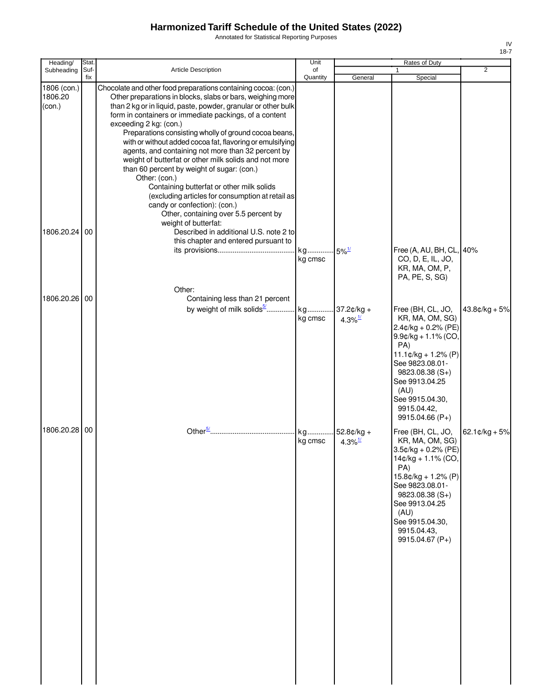Annotated for Statistical Reporting Purposes

| Heading/                                          | Stat.       |                                                                                                                                                                                                                                                                                                                                                                                                                                                                                                                                                                                                                                                                                                                                                                                                                                   | Unit                           |                                       | Rates of Duty                                                                                                                                                                                                                               |                          |
|---------------------------------------------------|-------------|-----------------------------------------------------------------------------------------------------------------------------------------------------------------------------------------------------------------------------------------------------------------------------------------------------------------------------------------------------------------------------------------------------------------------------------------------------------------------------------------------------------------------------------------------------------------------------------------------------------------------------------------------------------------------------------------------------------------------------------------------------------------------------------------------------------------------------------|--------------------------------|---------------------------------------|---------------------------------------------------------------------------------------------------------------------------------------------------------------------------------------------------------------------------------------------|--------------------------|
| Subheading                                        | Suf-<br>fix | Article Description                                                                                                                                                                                                                                                                                                                                                                                                                                                                                                                                                                                                                                                                                                                                                                                                               | of<br>Quantity                 | General                               | Special                                                                                                                                                                                                                                     | $\overline{2}$           |
| 1806 (con.)<br>1806.20<br>(con.)<br>1806.20.24 00 |             | Chocolate and other food preparations containing cocoa: (con.)<br>Other preparations in blocks, slabs or bars, weighing more<br>than 2 kg or in liquid, paste, powder, granular or other bulk<br>form in containers or immediate packings, of a content<br>exceeding 2 kg: (con.)<br>Preparations consisting wholly of ground cocoa beans,<br>with or without added cocoa fat, flavoring or emulsifying<br>agents, and containing not more than 32 percent by<br>weight of butterfat or other milk solids and not more<br>than 60 percent by weight of sugar: (con.)<br>Other: (con.)<br>Containing butterfat or other milk solids<br>(excluding articles for consumption at retail as<br>candy or confection): (con.)<br>Other, containing over 5.5 percent by<br>weight of butterfat:<br>Described in additional U.S. note 2 to |                                |                                       |                                                                                                                                                                                                                                             |                          |
|                                                   |             | this chapter and entered pursuant to<br>Other:                                                                                                                                                                                                                                                                                                                                                                                                                                                                                                                                                                                                                                                                                                                                                                                    | kg 5% <sup>1/</sup><br>kg cmsc |                                       | Free (A, AU, BH, CL, 40%<br>CO, D, E, IL, JO,<br>KR, MA, OM, P,<br>PA, PE, S, SG)                                                                                                                                                           |                          |
| 1806.20.26 00                                     |             | Containing less than 21 percent<br>by weight of milk solids <sup>5/</sup> kg                                                                                                                                                                                                                                                                                                                                                                                                                                                                                                                                                                                                                                                                                                                                                      | kg cmsc                        | $37.2¢/kg +$<br>$4.3\%$ <sup>1/</sup> | Free (BH, CL, JO,<br>KR, MA, OM, SG)<br>2.4¢/kg + 0.2% (PE)<br>$9.9$ c/kg + 1.1% (CO,<br>PA)<br>$11.1¢/kg + 1.2% (P)$<br>See 9823.08.01-<br>$9823.08.38(S+)$<br>See 9913.04.25<br>(AU)<br>See 9915.04.30,<br>9915.04.42,<br>9915.04.66 (P+) | $43.8¢/kg + 5%$          |
| 1806.20.28 00                                     |             |                                                                                                                                                                                                                                                                                                                                                                                                                                                                                                                                                                                                                                                                                                                                                                                                                                   | kg<br>kg cmsc                  | 52.8¢/kg +<br>$4.3\%$ <sup>1/</sup>   | Free (BH, CL, JO,<br>KR, MA, OM, SG)<br>3.5¢/kg + 0.2% (PE)<br>14¢/kg + 1.1% (CO,<br>PA)<br>15.8¢/kg + 1.2% (P)<br>See 9823.08.01-<br>$9823.08.38(S+)$<br>See 9913.04.25<br>(AU)<br>See 9915.04.30,<br>9915.04.43,<br>9915.04.67 (P+)       | 62.1 $\text{c/kg} + 5\%$ |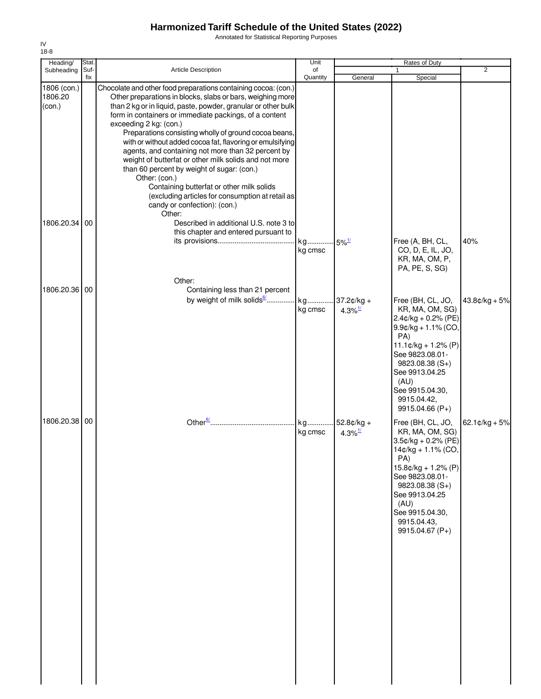Annotated for Statistical Reporting Purposes

| Heading/                         | Stat.       |                                                                                                                                                                                                                                                                                                                                                                                                                                                                                                                                                                                                                                                                                                                                  | Unit          |                                     | <b>Rates of Duty</b>                                                                                                                                                                                                                                           |                          |
|----------------------------------|-------------|----------------------------------------------------------------------------------------------------------------------------------------------------------------------------------------------------------------------------------------------------------------------------------------------------------------------------------------------------------------------------------------------------------------------------------------------------------------------------------------------------------------------------------------------------------------------------------------------------------------------------------------------------------------------------------------------------------------------------------|---------------|-------------------------------------|----------------------------------------------------------------------------------------------------------------------------------------------------------------------------------------------------------------------------------------------------------------|--------------------------|
| Subheading                       | Suf-<br>fix | <b>Article Description</b>                                                                                                                                                                                                                                                                                                                                                                                                                                                                                                                                                                                                                                                                                                       | of            |                                     | 1                                                                                                                                                                                                                                                              | 2                        |
| 1806 (con.)<br>1806.20<br>(con.) |             | Chocolate and other food preparations containing cocoa: (con.)<br>Other preparations in blocks, slabs or bars, weighing more<br>than 2 kg or in liquid, paste, powder, granular or other bulk<br>form in containers or immediate packings, of a content<br>exceeding 2 kg: (con.)<br>Preparations consisting wholly of ground cocoa beans,<br>with or without added cocoa fat, flavoring or emulsifying<br>agents, and containing not more than 32 percent by<br>weight of butterfat or other milk solids and not more<br>than 60 percent by weight of sugar: (con.)<br>Other: (con.)<br>Containing butterfat or other milk solids<br>(excluding articles for consumption at retail as<br>candy or confection): (con.)<br>Other: | Quantity      | General                             | Special                                                                                                                                                                                                                                                        |                          |
| 1806.20.34                       | 00          | Described in additional U.S. note 3 to<br>this chapter and entered pursuant to                                                                                                                                                                                                                                                                                                                                                                                                                                                                                                                                                                                                                                                   | kg<br>kg cmsc | $-5\%$ <sup>1/</sup>                | Free (A, BH, CL,<br>CO, D, E, IL, JO,<br>KR, MA, OM, P,<br>PA, PE, S, SG)                                                                                                                                                                                      | 40%                      |
| 1806.20.36                       | 00          | Other:<br>Containing less than 21 percent<br>by weight of milk solids <sup>6</sup>                                                                                                                                                                                                                                                                                                                                                                                                                                                                                                                                                                                                                                               | kg<br>kg cmsc | $.37.2¢/kg +$<br>4.3% $\frac{1}{2}$ | Free (BH, CL, JO,<br>KR, MA, OM, SG)<br>$2.4$ ¢/kg + 0.2% (PE)<br>$9.9$ ¢/kg + 1.1% (CO,<br>PA)<br>$11.1 \text{¢}/\text{kg} + 1.2\%$ (P)<br>See 9823.08.01-<br>$9823.08.38(S+)$<br>See 9913.04.25<br>(AU)<br>See 9915.04.30,<br>9915.04.42,<br>9915.04.66 (P+) | $43.8¢/kg + 5%$          |
| 1806.20.38 00                    |             |                                                                                                                                                                                                                                                                                                                                                                                                                                                                                                                                                                                                                                                                                                                                  | kg<br>kg cmsc | 52.8¢/kg +<br>$4.3\%$ <sup>1/</sup> | Free (BH, CL, JO,<br>KR, MA, OM, SG)<br>$3.5$ ¢/kg + 0.2% (PE)<br>14¢/kg + 1.1% (CO,<br>PA)<br>$15.8¢/kg + 1.2% (P)$<br>See 9823.08.01-<br>$9823.08.38(S+)$<br>See 9913.04.25<br>(AU)<br>See 9915.04.30,<br>9915.04.43,<br>9915.04.67 (P+)                     | $62.1 \text{C/kg} + 5\%$ |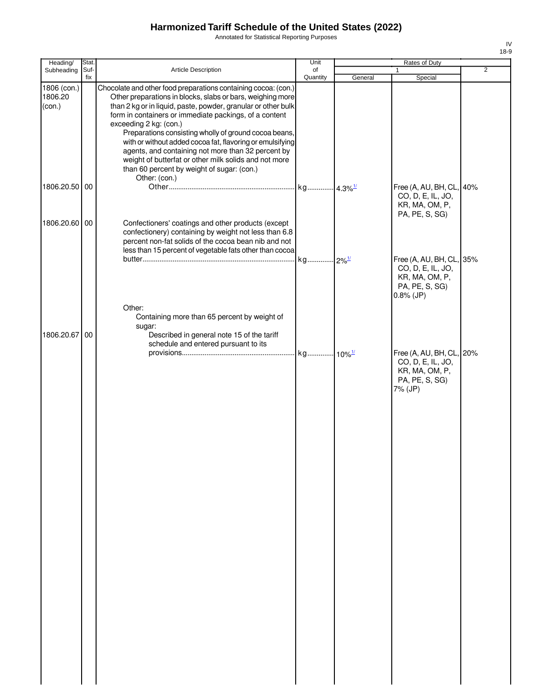Annotated for Statistical Reporting Purposes

| Heading/                         | Stat. |                                                                                                                                                                                                                                                                                                                                                                                                                                                                                                                                                                      | Unit     |         | Rates of Duty                                                                                |                |
|----------------------------------|-------|----------------------------------------------------------------------------------------------------------------------------------------------------------------------------------------------------------------------------------------------------------------------------------------------------------------------------------------------------------------------------------------------------------------------------------------------------------------------------------------------------------------------------------------------------------------------|----------|---------|----------------------------------------------------------------------------------------------|----------------|
| Subheading                       | Suf-  | Article Description                                                                                                                                                                                                                                                                                                                                                                                                                                                                                                                                                  | of       |         | $\mathbf{1}$                                                                                 | $\overline{2}$ |
| 1806 (con.)<br>1806.20<br>(con.) | fix   | Chocolate and other food preparations containing cocoa: (con.)<br>Other preparations in blocks, slabs or bars, weighing more<br>than 2 kg or in liquid, paste, powder, granular or other bulk<br>form in containers or immediate packings, of a content<br>exceeding 2 kg: (con.)<br>Preparations consisting wholly of ground cocoa beans,<br>with or without added cocoa fat, flavoring or emulsifying<br>agents, and containing not more than 32 percent by<br>weight of butterfat or other milk solids and not more<br>than 60 percent by weight of sugar: (con.) | Quantity | General | Special                                                                                      |                |
| 1806.20.50 00                    |       | Other: (con.)                                                                                                                                                                                                                                                                                                                                                                                                                                                                                                                                                        |          |         | Free (A, AU, BH, CL, 40%<br>CO, D, E, IL, JO,<br>KR, MA, OM, P,                              |                |
| 1806.20.60 00                    |       | Confectioners' coatings and other products (except<br>confectionery) containing by weight not less than 6.8<br>percent non-fat solids of the cocoa bean nib and not<br>less than 15 percent of vegetable fats other than cocoa                                                                                                                                                                                                                                                                                                                                       |          |         | PA, PE, S, SG)<br>Free (A, AU, BH, CL, 35%                                                   |                |
|                                  |       | Other:                                                                                                                                                                                                                                                                                                                                                                                                                                                                                                                                                               |          |         | CO, D, E, IL, JO,<br>KR, MA, OM, P,<br>PA, PE, S, SG)<br>$0.8\%$ (JP)                        |                |
| 1806.20.67 00                    |       | Containing more than 65 percent by weight of<br>sugar:<br>Described in general note 15 of the tariff<br>schedule and entered pursuant to its                                                                                                                                                                                                                                                                                                                                                                                                                         |          |         |                                                                                              |                |
|                                  |       |                                                                                                                                                                                                                                                                                                                                                                                                                                                                                                                                                                      |          |         | Free (A, AU, BH, CL, 20%<br>CO, D, E, IL, JO,<br>KR, MA, OM, P,<br>PA, PE, S, SG)<br>7% (JP) |                |
|                                  |       |                                                                                                                                                                                                                                                                                                                                                                                                                                                                                                                                                                      |          |         |                                                                                              |                |
|                                  |       |                                                                                                                                                                                                                                                                                                                                                                                                                                                                                                                                                                      |          |         |                                                                                              |                |
|                                  |       |                                                                                                                                                                                                                                                                                                                                                                                                                                                                                                                                                                      |          |         |                                                                                              |                |
|                                  |       |                                                                                                                                                                                                                                                                                                                                                                                                                                                                                                                                                                      |          |         |                                                                                              |                |
|                                  |       |                                                                                                                                                                                                                                                                                                                                                                                                                                                                                                                                                                      |          |         |                                                                                              |                |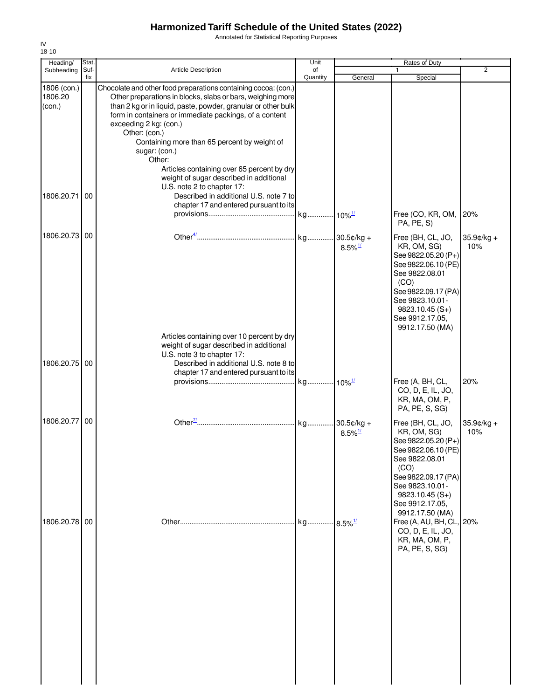Annotated for Statistical Reporting Purposes

| Heading/                         | Stat.       |                                                                                                                                                                                                                                                                                                                                                                                                                                                                                                      | Unit           |                                       | Rates of Duty                                                                                                                                                                                                |                   |
|----------------------------------|-------------|------------------------------------------------------------------------------------------------------------------------------------------------------------------------------------------------------------------------------------------------------------------------------------------------------------------------------------------------------------------------------------------------------------------------------------------------------------------------------------------------------|----------------|---------------------------------------|--------------------------------------------------------------------------------------------------------------------------------------------------------------------------------------------------------------|-------------------|
| Subheading                       | Suf-<br>fix | <b>Article Description</b>                                                                                                                                                                                                                                                                                                                                                                                                                                                                           | of<br>Quantity | General                               | 1<br>Special                                                                                                                                                                                                 | $\overline{2}$    |
| 1806 (con.)<br>1806.20<br>(con.) |             | Chocolate and other food preparations containing cocoa: (con.)<br>Other preparations in blocks, slabs or bars, weighing more<br>than 2 kg or in liquid, paste, powder, granular or other bulk<br>form in containers or immediate packings, of a content<br>exceeding 2 kg: (con.)<br>Other: (con.)<br>Containing more than 65 percent by weight of<br>sugar: (con.)<br>Other:<br>Articles containing over 65 percent by dry<br>weight of sugar described in additional<br>U.S. note 2 to chapter 17: |                |                                       |                                                                                                                                                                                                              |                   |
| 1806.20.71                       | 00          | Described in additional U.S. note 7 to<br>chapter 17 and entered pursuant to its                                                                                                                                                                                                                                                                                                                                                                                                                     |                |                                       | Free (CO, KR, OM,<br>PA, PE, S)                                                                                                                                                                              | 20%               |
| 1806.20.73                       | 00          |                                                                                                                                                                                                                                                                                                                                                                                                                                                                                                      |                | $8.5\%$ <sup>1/</sup>                 | Free (BH, CL, JO,<br>KR, OM, SG)<br>See 9822.05.20 (P+)<br>See 9822.06.10 (PE)<br>See 9822.08.01<br>(CO)<br>See 9822.09.17 (PA)<br>See 9823.10.01-<br>$9823.10.45(S+)$<br>See 9912.17.05,<br>9912.17.50 (MA) | 35.9¢/kg +<br>10% |
| 1806.20.75                       | 00          | Articles containing over 10 percent by dry<br>weight of sugar described in additional<br>U.S. note 3 to chapter 17:<br>Described in additional U.S. note 8 to<br>chapter 17 and entered pursuant to its                                                                                                                                                                                                                                                                                              |                |                                       | Free (A, BH, CL,<br>CO, D, E, IL, JO,<br>KR, MA, OM, P,<br>PA, PE, S, SG)                                                                                                                                    | 20%               |
| 1806.20.77                       | 00          |                                                                                                                                                                                                                                                                                                                                                                                                                                                                                                      |                | $30.5¢/kg +$<br>$8.5\%$ <sup>1/</sup> | Free (BH, CL, JO,<br>KR, OM, SG)<br>See 9822.05.20 (P+)<br>See 9822.06.10 (PE)<br>See 9822.08.01<br>(CO)<br>See 9822.09.17 (PA)<br>See 9823.10.01-<br>$9823.10.45(S+)$<br>See 9912.17.05,                    | 35.9¢/kg +<br>10% |
| 1806.20.78                       | 00          |                                                                                                                                                                                                                                                                                                                                                                                                                                                                                                      | kg             | $.8.5\%$ <sup>1/</sup>                | 9912.17.50 (MA)<br>Free (A, AU, BH, CL, 20%<br>CO, D, E, IL, JO,<br>KR, MA, OM, P,<br>PA, PE, S, SG)                                                                                                         |                   |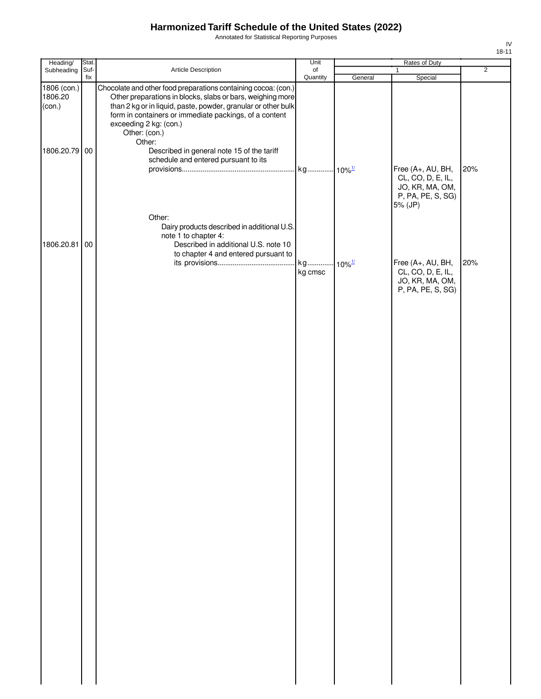Annotated for Statistical Reporting Purposes

| Heading/                                          | Stat.       |                                                                                                                                                                                                                                                                                                                                                            | Unit                 |         | Rates of Duty                                                                             |                |
|---------------------------------------------------|-------------|------------------------------------------------------------------------------------------------------------------------------------------------------------------------------------------------------------------------------------------------------------------------------------------------------------------------------------------------------------|----------------------|---------|-------------------------------------------------------------------------------------------|----------------|
| Subheading                                        | Suf-<br>fix | Article Description                                                                                                                                                                                                                                                                                                                                        | of<br>Quantity       | General | $\mathbf{1}$<br>Special                                                                   | $\overline{2}$ |
| 1806 (con.)<br>1806.20<br>(con.)<br>1806.20.79 00 |             | Chocolate and other food preparations containing cocoa: (con.)<br>Other preparations in blocks, slabs or bars, weighing more<br>than 2 kg or in liquid, paste, powder, granular or other bulk<br>form in containers or immediate packings, of a content<br>exceeding 2 kg: (con.)<br>Other: (con.)<br>Other:<br>Described in general note 15 of the tariff |                      |         |                                                                                           |                |
|                                                   |             | schedule and entered pursuant to its<br>Other:<br>Dairy products described in additional U.S.                                                                                                                                                                                                                                                              |                      |         | Free (A+, AU, BH,<br>CL, CO, D, E, IL,<br>JO, KR, MA, OM,<br>P, PA, PE, S, SG)<br>5% (JP) | 20%            |
| 1806.20.81                                        | 00          | note 1 to chapter 4:<br>Described in additional U.S. note 10<br>to chapter 4 and entered pursuant to                                                                                                                                                                                                                                                       | kg 10% <sup>1/</sup> |         | Free (A+, AU, BH,                                                                         | 20%            |
|                                                   |             |                                                                                                                                                                                                                                                                                                                                                            | kg cmsc              |         | CL, CO, D, E, IL,<br>JO, KR, MA, OM,<br>P, PA, PE, S, SG)                                 |                |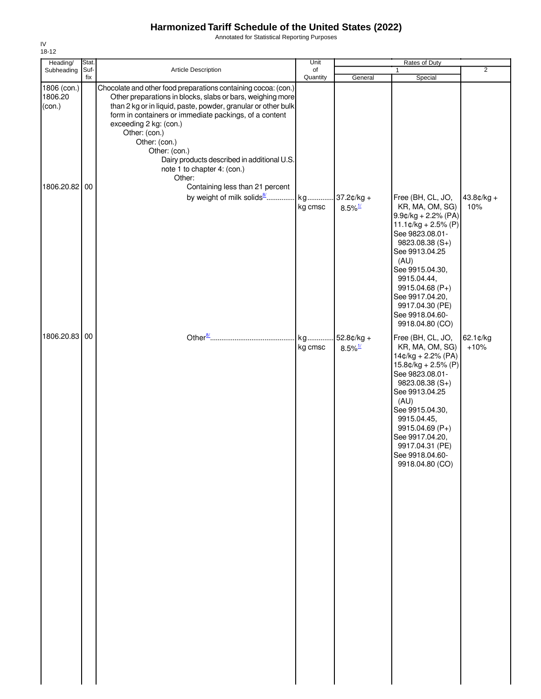Annotated for Statistical Reporting Purposes

| Heading/                         | Stat.       |                                                                                                                                                                                                                                                                                                                                                                                                                              | Unit           |                                       | Rates of Duty                                                                                                                                                                                                                                                                             |                     |
|----------------------------------|-------------|------------------------------------------------------------------------------------------------------------------------------------------------------------------------------------------------------------------------------------------------------------------------------------------------------------------------------------------------------------------------------------------------------------------------------|----------------|---------------------------------------|-------------------------------------------------------------------------------------------------------------------------------------------------------------------------------------------------------------------------------------------------------------------------------------------|---------------------|
| Subheading                       | Suf-<br>fix | Article Description                                                                                                                                                                                                                                                                                                                                                                                                          | of<br>Quantity | General                               | Special                                                                                                                                                                                                                                                                                   | $\overline{2}$      |
| 1806 (con.)<br>1806.20<br>(con.) |             | Chocolate and other food preparations containing cocoa: (con.)<br>Other preparations in blocks, slabs or bars, weighing more<br>than 2 kg or in liquid, paste, powder, granular or other bulk<br>form in containers or immediate packings, of a content<br>exceeding 2 kg: (con.)<br>Other: (con.)<br>Other: (con.)<br>Other: (con.)<br>Dairy products described in additional U.S.<br>note 1 to chapter 4: (con.)<br>Other: |                |                                       |                                                                                                                                                                                                                                                                                           |                     |
| 1806.20.82 00                    |             | Containing less than 21 percent<br>by weight of milk solids8                                                                                                                                                                                                                                                                                                                                                                 | kg<br>kg cmsc  | $37.2¢/kg +$<br>$8.5\%$ <sup>1/</sup> | Free (BH, CL, JO,<br>KR, MA, OM, SG)<br>$9.9$ ¢/kg + 2.2% (PA)<br>$11.1¢/kg + 2.5% (P)$<br>See 9823.08.01-<br>$9823.08.38(S+)$<br>See 9913.04.25<br>(AU)<br>See 9915.04.30,<br>9915.04.44,<br>9915.04.68 (P+)<br>See 9917.04.20,<br>9917.04.30 (PE)<br>See 9918.04.60-<br>9918.04.80 (CO) | $43.8¢/kg +$<br>10% |
| 1806.20.83 00                    |             | Other $\frac{8}{2}$                                                                                                                                                                                                                                                                                                                                                                                                          | kg<br>kg cmsc  | $52.8¢/kg +$<br>$8.5\%$ <sup>1/</sup> | Free (BH, CL, JO,<br>KR, MA, OM, SG)<br>$14¢/kg + 2.2% (PA)$<br>15.8¢/kg + 2.5% (P)<br>See 9823.08.01-<br>9823.08.38 (S+)<br>See 9913.04.25<br>(AU)<br>See 9915.04.30,<br>9915.04.45,<br>9915.04.69 (P+)<br>See 9917.04.20,<br>9917.04.31 (PE)<br>See 9918.04.60-<br>9918.04.80 (CO)      | 62.1¢/kg<br>$+10%$  |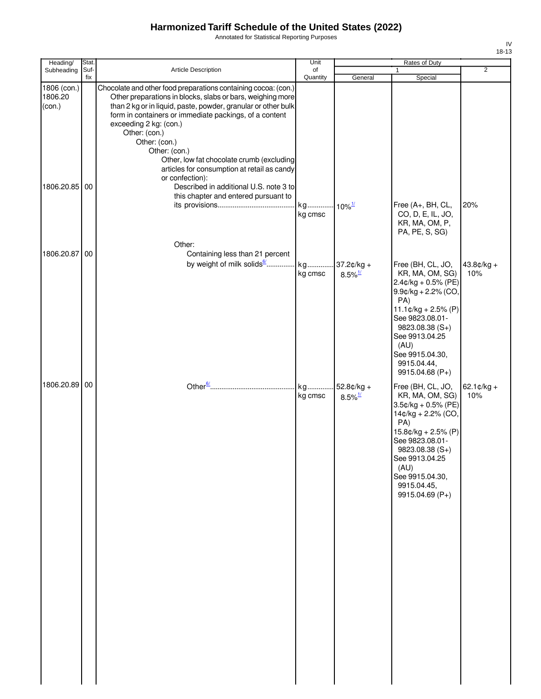Annotated for Statistical Reporting Purposes

| Heading/                         | Stat.       |                                                                                                                                                                                                                                                                                                                                                                                                                                                     | Unit                     |                                       | Rates of Duty                                                                                                                                                                                                                                  |                                |
|----------------------------------|-------------|-----------------------------------------------------------------------------------------------------------------------------------------------------------------------------------------------------------------------------------------------------------------------------------------------------------------------------------------------------------------------------------------------------------------------------------------------------|--------------------------|---------------------------------------|------------------------------------------------------------------------------------------------------------------------------------------------------------------------------------------------------------------------------------------------|--------------------------------|
| Subheading                       | Suf-<br>fix | Article Description                                                                                                                                                                                                                                                                                                                                                                                                                                 | of<br>Quantity           | General                               | 1<br>Special                                                                                                                                                                                                                                   | $\overline{2}$                 |
| 1806 (con.)<br>1806.20<br>(con.) |             | Chocolate and other food preparations containing cocoa: (con.)<br>Other preparations in blocks, slabs or bars, weighing more<br>than 2 kg or in liquid, paste, powder, granular or other bulk<br>form in containers or immediate packings, of a content<br>exceeding 2 kg: (con.)<br>Other: (con.)<br>Other: (con.)<br>Other: (con.)<br>Other, low fat chocolate crumb (excluding<br>articles for consumption at retail as candy<br>or confection): |                          |                                       |                                                                                                                                                                                                                                                |                                |
| 1806.20.85 00                    |             | Described in additional U.S. note 3 to<br>this chapter and entered pursuant to<br>Other:                                                                                                                                                                                                                                                                                                                                                            | kg<br>kg cmsc            | $10\%$ <sup>1/</sup>                  | Free (A+, BH, CL,<br>CO, D, E, IL, JO,<br>KR, MA, OM, P,<br>PA, PE, S, SG)                                                                                                                                                                     | 20%                            |
| 1806.20.87 00                    |             | Containing less than 21 percent<br>by weight of milk solids <sup>6</sup>                                                                                                                                                                                                                                                                                                                                                                            | kg<br>kg cmsc            | $37.2¢/kg +$<br>$8.5\%$ <sup>1/</sup> | Free (BH, CL, JO,<br>KR, MA, OM, SG)<br>$2.4$ ¢/kg + 0.5% (PE)<br>$9.9$ ¢/kg + 2.2% (CO,<br>PA)<br>$11.1¢/kg + 2.5% (P)$<br>See 9823.08.01-<br>$9823.08.38(S+)$<br>See 9913.04.25<br>(AU)<br>See 9915.04.30,<br>9915.04.44,<br>9915.04.68 (P+) | $43.8¢/kg +$<br>10%            |
| 1806.20.89 00                    |             |                                                                                                                                                                                                                                                                                                                                                                                                                                                     | kg 52.8¢/kg +<br>kg cmsc | $8.5\%$ <sup>1/</sup>                 | Free (BH, CL, JO,<br>KR, MA, OM, SG)<br>$3.5$ ¢/kg + 0.5% (PE)<br>14¢/kg + 2.2% (CO,<br>PA)<br>15.8¢/kg + 2.5% (P)<br>See 9823.08.01-<br>$9823.08.38(S+)$<br>See 9913.04.25<br>(AU)<br>See 9915.04.30,<br>9915.04.45,<br>9915.04.69 (P+)       | $62.1 \, \text{c/kg} +$<br>10% |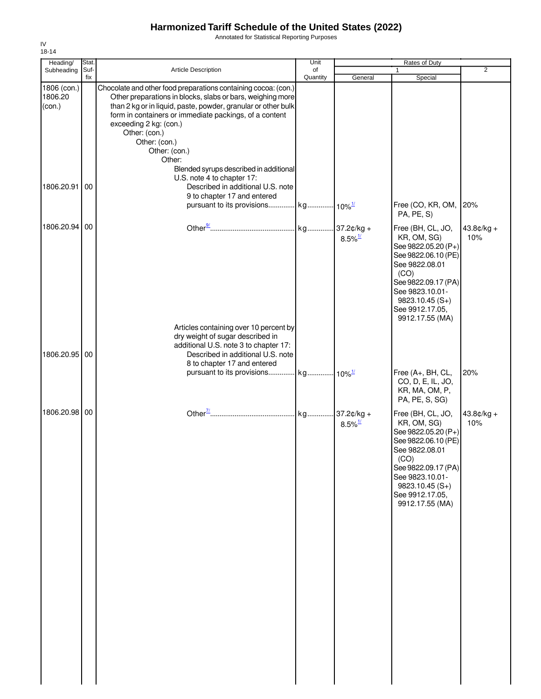Annotated for Statistical Reporting Purposes

| Heading/          | Stat. |                                                                                                                             | Unit     |                       | Rates of Duty                              |              |
|-------------------|-------|-----------------------------------------------------------------------------------------------------------------------------|----------|-----------------------|--------------------------------------------|--------------|
| Subheading        | Suf-  | <b>Article Description</b>                                                                                                  | of       |                       | 1                                          | 2            |
| 1806 (con.)       | fix   | Chocolate and other food preparations containing cocoa: (con.)                                                              | Quantity | General               | Special                                    |              |
| 1806.20<br>(con.) |       | Other preparations in blocks, slabs or bars, weighing more<br>than 2 kg or in liquid, paste, powder, granular or other bulk |          |                       |                                            |              |
|                   |       | form in containers or immediate packings, of a content                                                                      |          |                       |                                            |              |
|                   |       | exceeding 2 kg: (con.)                                                                                                      |          |                       |                                            |              |
|                   |       | Other: (con.)                                                                                                               |          |                       |                                            |              |
|                   |       | Other: (con.)                                                                                                               |          |                       |                                            |              |
|                   |       | Other: (con.)<br>Other:                                                                                                     |          |                       |                                            |              |
|                   |       | Blended syrups described in additional                                                                                      |          |                       |                                            |              |
|                   |       | U.S. note 4 to chapter 17:                                                                                                  |          |                       |                                            |              |
| 1806.20.91        | 00    | Described in additional U.S. note                                                                                           |          |                       |                                            |              |
|                   |       | 9 to chapter 17 and entered                                                                                                 |          |                       | Free (CO, KR, OM,                          | 20%          |
|                   |       |                                                                                                                             |          |                       | PA, PE, S)                                 |              |
| 1806.20.94        | 00    |                                                                                                                             |          | kg 37.2¢/kg +         | Free (BH, CL, JO,                          | $43.8¢/kg +$ |
|                   |       |                                                                                                                             |          | $8.5\%$ <sup>1/</sup> | KR, OM, SG)                                | 10%          |
|                   |       |                                                                                                                             |          |                       | See 9822.05.20 (P+)                        |              |
|                   |       |                                                                                                                             |          |                       | See 9822.06.10 (PE)<br>See 9822.08.01      |              |
|                   |       |                                                                                                                             |          |                       | (CO)                                       |              |
|                   |       |                                                                                                                             |          |                       | See 9822.09.17 (PA)                        |              |
|                   |       |                                                                                                                             |          |                       | See 9823.10.01-<br>9823.10.45 (S+)         |              |
|                   |       |                                                                                                                             |          |                       | See 9912.17.05,                            |              |
|                   |       |                                                                                                                             |          |                       | 9912.17.55 (MA)                            |              |
|                   |       | Articles containing over 10 percent by                                                                                      |          |                       |                                            |              |
|                   |       | dry weight of sugar described in<br>additional U.S. note 3 to chapter 17:                                                   |          |                       |                                            |              |
| 1806.20.95        | 00    | Described in additional U.S. note                                                                                           |          |                       |                                            |              |
|                   |       | 8 to chapter 17 and entered                                                                                                 |          |                       |                                            |              |
|                   |       | pursuant to its provisions kg 10% <sup>1/</sup>                                                                             |          |                       | Free (A+, BH, CL,<br>CO, D, E, IL, JO,     | 20%          |
|                   |       |                                                                                                                             |          |                       | KR, MA, OM, P,                             |              |
|                   |       |                                                                                                                             |          |                       | PA, PE, S, SG)                             |              |
| 1806.20.98 00     |       |                                                                                                                             |          |                       | Free (BH, CL, JO,                          | $43.8¢/kg +$ |
|                   |       |                                                                                                                             |          | $8.5\%$ <sup>1/</sup> | KR, OM, SG)                                | 10%          |
|                   |       |                                                                                                                             |          |                       | See 9822.05.20 (P+)<br>See 9822.06.10 (PE) |              |
|                   |       |                                                                                                                             |          |                       | See 9822.08.01                             |              |
|                   |       |                                                                                                                             |          |                       | (CO)                                       |              |
|                   |       |                                                                                                                             |          |                       | See 9822.09.17 (PA)                        |              |
|                   |       |                                                                                                                             |          |                       | See 9823.10.01-<br>$9823.10.45(S+)$        |              |
|                   |       |                                                                                                                             |          |                       | See 9912.17.05,                            |              |
|                   |       |                                                                                                                             |          |                       | 9912.17.55 (MA)                            |              |
|                   |       |                                                                                                                             |          |                       |                                            |              |
|                   |       |                                                                                                                             |          |                       |                                            |              |
|                   |       |                                                                                                                             |          |                       |                                            |              |
|                   |       |                                                                                                                             |          |                       |                                            |              |
|                   |       |                                                                                                                             |          |                       |                                            |              |
|                   |       |                                                                                                                             |          |                       |                                            |              |
|                   |       |                                                                                                                             |          |                       |                                            |              |
|                   |       |                                                                                                                             |          |                       |                                            |              |
|                   |       |                                                                                                                             |          |                       |                                            |              |
|                   |       |                                                                                                                             |          |                       |                                            |              |
|                   |       |                                                                                                                             |          |                       |                                            |              |
|                   |       |                                                                                                                             |          |                       |                                            |              |
|                   |       |                                                                                                                             |          |                       |                                            |              |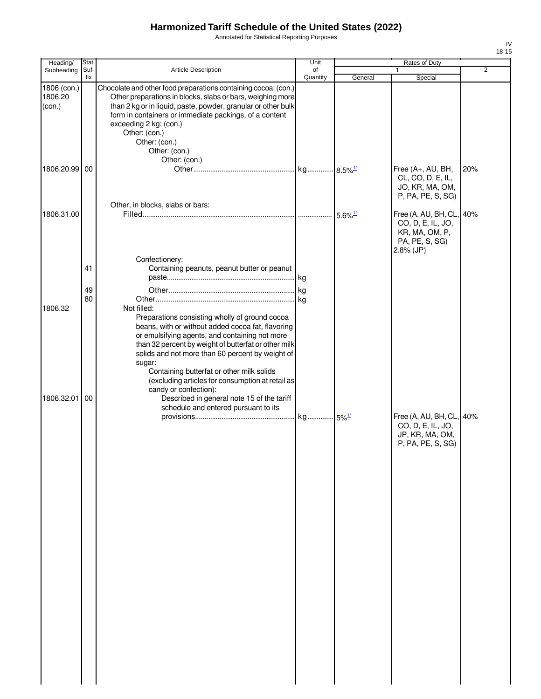Annotated for Statistical Reporting Purposes

|     |                | ۱۷<br>15-18 |
|-----|----------------|-------------|
| ity |                |             |
|     | $\overline{2}$ |             |
|     |                |             |
|     |                |             |
|     |                |             |
|     |                |             |
|     |                |             |
|     |                |             |

| Heading/                         | Stat.    |                                                                                                                                                                                                                                                                                                                                                                                                                                                                                                            | Unit     |                       | Rates of Duty                                                                                  |                |
|----------------------------------|----------|------------------------------------------------------------------------------------------------------------------------------------------------------------------------------------------------------------------------------------------------------------------------------------------------------------------------------------------------------------------------------------------------------------------------------------------------------------------------------------------------------------|----------|-----------------------|------------------------------------------------------------------------------------------------|----------------|
| Subheading                       | Suf-     | <b>Article Description</b>                                                                                                                                                                                                                                                                                                                                                                                                                                                                                 | of       |                       | $\mathbf{1}$                                                                                   | $\overline{2}$ |
| 1806 (con.)<br>1806.20<br>(con.) | fix      | Chocolate and other food preparations containing cocoa: (con.)<br>Other preparations in blocks, slabs or bars, weighing more<br>than 2 kg or in liquid, paste, powder, granular or other bulk<br>form in containers or immediate packings, of a content<br>exceeding 2 kg: (con.)<br>Other: (con.)<br>Other: (con.)<br>Other: (con.)<br>Other: (con.)                                                                                                                                                      | Quantity | General               | Special                                                                                        |                |
| 1806.20.99 00                    |          |                                                                                                                                                                                                                                                                                                                                                                                                                                                                                                            |          |                       | Free (A+, AU, BH,<br>CL, CO, D, E, IL,<br>JO, KR, MA, OM,<br>P, PA, PE, S, SG)                 | 20%            |
| 1806.31.00                       |          | Other, in blocks, slabs or bars:                                                                                                                                                                                                                                                                                                                                                                                                                                                                           |          | $5.6\%$ <sup>1/</sup> | Free (A, AU, BH, CL, 40%<br>CO, D, E, IL, JO,<br>KR, MA, OM, P,<br>PA, PE, S, SG)<br>2.8% (JP) |                |
|                                  | 41<br>49 | Confectionery:<br>Containing peanuts, peanut butter or peanut                                                                                                                                                                                                                                                                                                                                                                                                                                              |          |                       |                                                                                                |                |
| 1806.32<br>1806.32.01            | 80<br>00 | Not filled:<br>Preparations consisting wholly of ground cocoa<br>beans, with or without added cocoa fat, flavoring<br>or emulsifying agents, and containing not more<br>than 32 percent by weight of butterfat or other milk<br>solids and not more than 60 percent by weight of<br>sugar:<br>Containing butterfat or other milk solids<br>(excluding articles for consumption at retail as<br>candy or confection):<br>Described in general note 15 of the tariff<br>schedule and entered pursuant to its |          |                       |                                                                                                |                |
|                                  |          |                                                                                                                                                                                                                                                                                                                                                                                                                                                                                                            |          |                       | Free (A, AU, BH, CL, 40%<br>CO, D, E, IL, JO,<br>JP, KR, MA, OM,<br>P, PA, PE, S, SG)          |                |

IV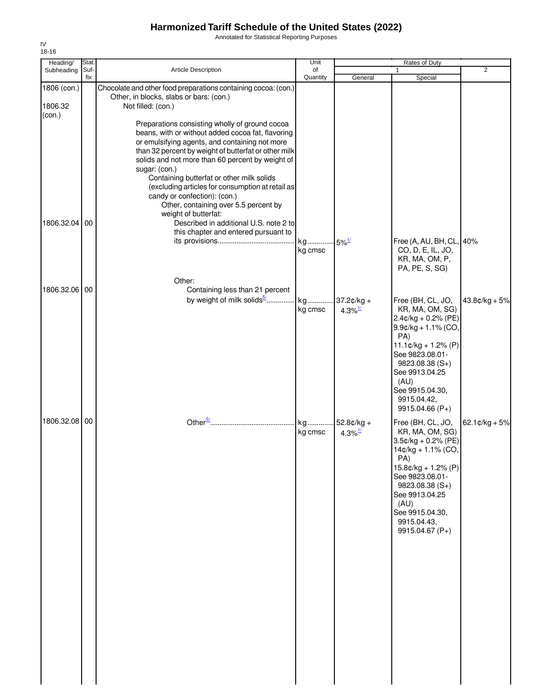Annotated for Statistical Reporting Purposes

| Heading/      | Stat.       |                                                                   | Unit           |                     | <b>Rates of Duty</b>                             |                          |
|---------------|-------------|-------------------------------------------------------------------|----------------|---------------------|--------------------------------------------------|--------------------------|
| Subheading    | Suf-<br>fix | <b>Article Description</b>                                        | of<br>Quantity | General             | 1<br>Special                                     | 2                        |
| 1806 (con.)   |             | Chocolate and other food preparations containing cocoa: (con.)    |                |                     |                                                  |                          |
| 1806.32       |             | Other, in blocks, slabs or bars: (con.)<br>Not filled: (con.)     |                |                     |                                                  |                          |
| (con.)        |             |                                                                   |                |                     |                                                  |                          |
|               |             | Preparations consisting wholly of ground cocoa                    |                |                     |                                                  |                          |
|               |             | beans, with or without added cocoa fat, flavoring                 |                |                     |                                                  |                          |
|               |             | or emulsifying agents, and containing not more                    |                |                     |                                                  |                          |
|               |             | than 32 percent by weight of butterfat or other milk              |                |                     |                                                  |                          |
|               |             | solids and not more than 60 percent by weight of<br>sugar: (con.) |                |                     |                                                  |                          |
|               |             | Containing butterfat or other milk solids                         |                |                     |                                                  |                          |
|               |             | (excluding articles for consumption at retail as                  |                |                     |                                                  |                          |
|               |             | candy or confection): (con.)                                      |                |                     |                                                  |                          |
|               |             | Other, containing over 5.5 percent by                             |                |                     |                                                  |                          |
|               |             | weight of butterfat:                                              |                |                     |                                                  |                          |
| 1806.32.04 00 |             | Described in additional U.S. note 2 to                            |                |                     |                                                  |                          |
|               |             | this chapter and entered pursuant to                              |                |                     |                                                  |                          |
|               |             |                                                                   | kg             | $5\%$ <sup>1/</sup> | Free (A, AU, BH, CL, 40%                         |                          |
|               |             |                                                                   | kg cmsc        |                     | CO, D, E, IL, JO,                                |                          |
|               |             |                                                                   |                |                     | KR, MA, OM, P,                                   |                          |
|               |             |                                                                   |                |                     | PA, PE, S, SG)                                   |                          |
|               |             | Other:                                                            |                |                     |                                                  |                          |
| 1806.32.06 00 |             | Containing less than 21 percent                                   |                |                     |                                                  |                          |
|               |             | by weight of milk solids <sup>5/</sup>                            | kg             | $37.2¢/kg +$        | Free (BH, CL, JO,                                | $43.8¢/kg + 5%$          |
|               |             |                                                                   | kg cmsc        | 4.3% $\frac{1}{2}$  | KR, MA, OM, SG)                                  |                          |
|               |             |                                                                   |                |                     | $2.4$ ¢/kg + 0.2% (PE)<br>$9.9$ ¢/kg + 1.1% (CO, |                          |
|               |             |                                                                   |                |                     | PA)                                              |                          |
|               |             |                                                                   |                |                     | $11.1¢/kg + 1.2% (P)$                            |                          |
|               |             |                                                                   |                |                     | See 9823.08.01-                                  |                          |
|               |             |                                                                   |                |                     | $9823.08.38(S+)$                                 |                          |
|               |             |                                                                   |                |                     | See 9913.04.25                                   |                          |
|               |             |                                                                   |                |                     | (AU)                                             |                          |
|               |             |                                                                   |                |                     | See 9915.04.30,                                  |                          |
|               |             |                                                                   |                |                     | 9915.04.42,                                      |                          |
|               |             |                                                                   |                |                     | 9915.04.66 (P+)                                  |                          |
| 1806.32.08 00 |             |                                                                   | kg             | 52.8¢/kg +          | Free (BH, CL, JO,                                | $62.1 \text{C/kg} + 5\%$ |
|               |             |                                                                   | kg cmsc        | 4.3% $\frac{1}{2}$  | KR, MA, OM, SG)                                  |                          |
|               |             |                                                                   |                |                     | $3.5$ ¢/kg + 0.2% (PE)                           |                          |
|               |             |                                                                   |                |                     | 14¢/kg + 1.1% (CO,                               |                          |
|               |             |                                                                   |                |                     | PA)<br>15.8¢/kg + 1.2% (P)                       |                          |
|               |             |                                                                   |                |                     | See 9823.08.01-                                  |                          |
|               |             |                                                                   |                |                     | $9823.08.38(S+)$                                 |                          |
|               |             |                                                                   |                |                     | See 9913.04.25                                   |                          |
|               |             |                                                                   |                |                     | (AU)                                             |                          |
|               |             |                                                                   |                |                     | See 9915.04.30,                                  |                          |
|               |             |                                                                   |                |                     | 9915.04.43,                                      |                          |
|               |             |                                                                   |                |                     | 9915.04.67 (P+)                                  |                          |
|               |             |                                                                   |                |                     |                                                  |                          |
|               |             |                                                                   |                |                     |                                                  |                          |
|               |             |                                                                   |                |                     |                                                  |                          |
|               |             |                                                                   |                |                     |                                                  |                          |
|               |             |                                                                   |                |                     |                                                  |                          |
|               |             |                                                                   |                |                     |                                                  |                          |
|               |             |                                                                   |                |                     |                                                  |                          |
|               |             |                                                                   |                |                     |                                                  |                          |
|               |             |                                                                   |                |                     |                                                  |                          |
|               |             |                                                                   |                |                     |                                                  |                          |
|               |             |                                                                   |                |                     |                                                  |                          |
|               |             |                                                                   |                |                     |                                                  |                          |
|               |             |                                                                   |                |                     |                                                  |                          |
|               |             |                                                                   |                |                     |                                                  |                          |
|               |             |                                                                   |                |                     |                                                  |                          |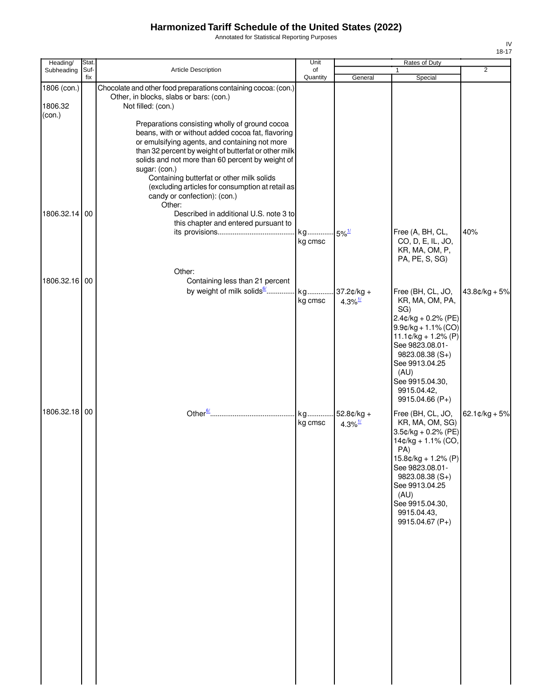Annotated for Statistical Reporting Purposes

| Heading/               | Stat.       |                                                                                                                                                                                                                                                                                                                                                                                                                               | Unit                           |                                        | Rates of Duty                                                                                                                                                                                                                          |                  |
|------------------------|-------------|-------------------------------------------------------------------------------------------------------------------------------------------------------------------------------------------------------------------------------------------------------------------------------------------------------------------------------------------------------------------------------------------------------------------------------|--------------------------------|----------------------------------------|----------------------------------------------------------------------------------------------------------------------------------------------------------------------------------------------------------------------------------------|------------------|
| Subheading             | Suf-<br>fix | Article Description                                                                                                                                                                                                                                                                                                                                                                                                           | of<br>Quantity                 | General                                | $\mathbf{1}$<br>Special                                                                                                                                                                                                                | 2                |
| 1806 (con.)<br>1806.32 |             | Chocolate and other food preparations containing cocoa: (con.)<br>Other, in blocks, slabs or bars: (con.)<br>Not filled: (con.)                                                                                                                                                                                                                                                                                               |                                |                                        |                                                                                                                                                                                                                                        |                  |
| (con.)                 |             | Preparations consisting wholly of ground cocoa<br>beans, with or without added cocoa fat, flavoring<br>or emulsifying agents, and containing not more<br>than 32 percent by weight of butterfat or other milk<br>solids and not more than 60 percent by weight of<br>sugar: (con.)<br>Containing butterfat or other milk solids<br>(excluding articles for consumption at retail as<br>candy or confection): (con.)<br>Other: |                                |                                        |                                                                                                                                                                                                                                        |                  |
| 1806.32.14 00          |             | Described in additional U.S. note 3 to<br>this chapter and entered pursuant to                                                                                                                                                                                                                                                                                                                                                | kg 5% <sup>1/</sup><br>kg cmsc |                                        | Free (A, BH, CL,<br>CO, D, E, IL, JO,<br>KR, MA, OM, P,<br>PA, PE, S, SG)                                                                                                                                                              | 40%              |
| 1806.32.16 00          |             | Other:<br>Containing less than 21 percent                                                                                                                                                                                                                                                                                                                                                                                     |                                |                                        |                                                                                                                                                                                                                                        |                  |
|                        |             | by weight of milk solids <sup>6</sup>                                                                                                                                                                                                                                                                                                                                                                                         | kg<br>kg cmsc                  | $37.2¢/kg +$<br>$4.3\%$ <sup>1/</sup>  | Free (BH, CL, JO,<br>KR, MA, OM, PA,<br>SG)<br>2.4¢/kg + 0.2% (PE)                                                                                                                                                                     | $43.8¢/kg + 5%$  |
|                        |             |                                                                                                                                                                                                                                                                                                                                                                                                                               |                                |                                        | $9.9¢/kg + 1.1% (CO)$<br>$11.1¢/kg + 1.2% (P)$<br>See 9823.08.01-<br>$9823.08.38(S+)$<br>See 9913.04.25<br>(AU)<br>See 9915.04.30,<br>9915.04.42,<br>9915.04.66 (P+)                                                                   |                  |
| 1806.32.18 00          |             |                                                                                                                                                                                                                                                                                                                                                                                                                               | kg<br>kg cmsc                  | $.52.8¢/kg +$<br>$4.3\%$ <sup>1/</sup> | Free (BH, CL, JO,<br>KR, MA, OM, SG)<br>3.5¢/kg + 0.2% (PE)<br>14¢/kg + 1.1% (CO,<br>PA)<br>$15.8¢/kg + 1.2% (P)$<br>See 9823.08.01-<br>9823.08.38 (S+)<br>See 9913.04.25<br>(AU)<br>See 9915.04.30,<br>9915.04.43,<br>9915.04.67 (P+) | $62.1$ ¢/kg + 5% |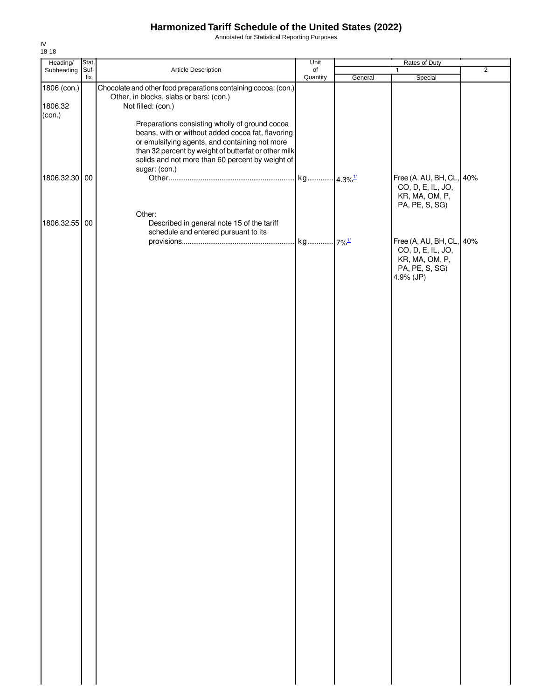Annotated for Statistical Reporting Purposes

| Heading/                         | Stat.       |                                                                                                                                                                                                                                                                                                                                                                                                                       | Unit           |         | Rates of Duty                                                                                  |                |
|----------------------------------|-------------|-----------------------------------------------------------------------------------------------------------------------------------------------------------------------------------------------------------------------------------------------------------------------------------------------------------------------------------------------------------------------------------------------------------------------|----------------|---------|------------------------------------------------------------------------------------------------|----------------|
| Subheading                       | Suf-<br>fix | Article Description                                                                                                                                                                                                                                                                                                                                                                                                   | of<br>Quantity | General | $\mathbf{1}$<br>Special                                                                        | $\overline{2}$ |
| 1806 (con.)<br>1806.32<br>(con.) |             | Chocolate and other food preparations containing cocoa: (con.)<br>Other, in blocks, slabs or bars: (con.)<br>Not filled: (con.)<br>Preparations consisting wholly of ground cocoa<br>beans, with or without added cocoa fat, flavoring<br>or emulsifying agents, and containing not more<br>than 32 percent by weight of butterfat or other milk<br>solids and not more than 60 percent by weight of<br>sugar: (con.) |                |         |                                                                                                |                |
| 1806.32.30 00                    |             | Other:                                                                                                                                                                                                                                                                                                                                                                                                                |                |         | Free (A, AU, BH, CL, 40%<br>CO, D, E, IL, JO,<br>KR, MA, OM, P,<br>PA, PE, S, SG)              |                |
| 1806.32.55 00                    |             | Described in general note 15 of the tariff<br>schedule and entered pursuant to its                                                                                                                                                                                                                                                                                                                                    |                |         | Free (A, AU, BH, CL, 40%<br>CO, D, E, IL, JO,<br>KR, MA, OM, P,<br>PA, PE, S, SG)<br>4.9% (JP) |                |
|                                  |             |                                                                                                                                                                                                                                                                                                                                                                                                                       |                |         |                                                                                                |                |
|                                  |             |                                                                                                                                                                                                                                                                                                                                                                                                                       |                |         |                                                                                                |                |
|                                  |             |                                                                                                                                                                                                                                                                                                                                                                                                                       |                |         |                                                                                                |                |
|                                  |             |                                                                                                                                                                                                                                                                                                                                                                                                                       |                |         |                                                                                                |                |
|                                  |             |                                                                                                                                                                                                                                                                                                                                                                                                                       |                |         |                                                                                                |                |
|                                  |             |                                                                                                                                                                                                                                                                                                                                                                                                                       |                |         |                                                                                                |                |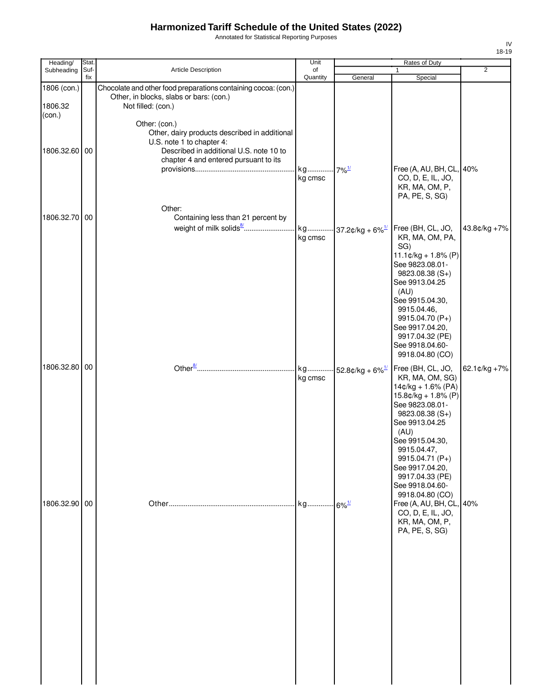Annotated for Statistical Reporting Purposes

| Heading/      | <b>Stat</b> |                                                                | Unit                           |                                 | Rates of Duty                                     |                |
|---------------|-------------|----------------------------------------------------------------|--------------------------------|---------------------------------|---------------------------------------------------|----------------|
| Subheading    | Suf-<br>fix | Article Description                                            | of<br>Quantity                 | General                         | 1<br>Special                                      | $\overline{2}$ |
| 1806 (con.)   |             | Chocolate and other food preparations containing cocoa: (con.) |                                |                                 |                                                   |                |
|               |             | Other, in blocks, slabs or bars: (con.)                        |                                |                                 |                                                   |                |
| 1806.32       |             | Not filled: (con.)                                             |                                |                                 |                                                   |                |
| $con.$        |             | Other: (con.)                                                  |                                |                                 |                                                   |                |
|               |             | Other, dairy products described in additional                  |                                |                                 |                                                   |                |
|               |             | U.S. note 1 to chapter 4:                                      |                                |                                 |                                                   |                |
| 1806.32.60 00 |             | Described in additional U.S. note 10 to                        |                                |                                 |                                                   |                |
|               |             | chapter 4 and entered pursuant to its                          |                                |                                 |                                                   |                |
|               |             |                                                                | kg 7% <sup>1/</sup><br>kg cmsc |                                 | Free (A, AU, BH, CL, 40%<br>CO, D, E, IL, JO,     |                |
|               |             |                                                                |                                |                                 | KR, MA, OM, P,                                    |                |
|               |             |                                                                |                                |                                 | PA, PE, S, SG)                                    |                |
|               |             | Other:                                                         |                                |                                 |                                                   |                |
| 1806.32.70 00 |             | Containing less than 21 percent by                             |                                |                                 |                                                   |                |
|               |             |                                                                |                                | kg 37.2¢/kg + 6% <sup>1/</sup>  | Free (BH, CL, JO,                                 | 43.8¢/kg +7%   |
|               |             |                                                                | kg cmsc                        |                                 | KR, MA, OM, PA,                                   |                |
|               |             |                                                                |                                |                                 | SG)                                               |                |
|               |             |                                                                |                                |                                 | $11.1 \text{C/kg} + 1.8\%$ (P)<br>See 9823.08.01- |                |
|               |             |                                                                |                                |                                 | 9823.08.38 (S+)                                   |                |
|               |             |                                                                |                                |                                 | See 9913.04.25                                    |                |
|               |             |                                                                |                                |                                 | (AU)                                              |                |
|               |             |                                                                |                                |                                 | See 9915.04.30,<br>9915.04.46,                    |                |
|               |             |                                                                |                                |                                 | 9915.04.70 (P+)                                   |                |
|               |             |                                                                |                                |                                 | See 9917.04.20,                                   |                |
|               |             |                                                                |                                |                                 | 9917.04.32 (PE)                                   |                |
|               |             |                                                                |                                |                                 | See 9918.04.60-<br>9918.04.80 (CO)                |                |
|               |             |                                                                |                                |                                 |                                                   |                |
| 1806.32.80 00 |             |                                                                | kg                             | $-52.8$ ¢/kg + 6% $\frac{1}{2}$ | Free (BH, CL, JO,                                 | 62.1¢/kg +7%   |
|               |             |                                                                | kg cmsc                        |                                 | KR, MA, OM, SG)<br>14¢/kg + 1.6% (PA)             |                |
|               |             |                                                                |                                |                                 | $15.8$ ¢/kg + 1.8% (P)                            |                |
|               |             |                                                                |                                |                                 | See 9823.08.01-                                   |                |
|               |             |                                                                |                                |                                 | 9823.08.38 (S+)                                   |                |
|               |             |                                                                |                                |                                 | See 9913.04.25<br>(AU)                            |                |
|               |             |                                                                |                                |                                 | See 9915.04.30,                                   |                |
|               |             |                                                                |                                |                                 | 9915.04.47,                                       |                |
|               |             |                                                                |                                |                                 | 9915.04.71 (P+)                                   |                |
|               |             |                                                                |                                |                                 | See 9917.04.20,<br>9917.04.33 (PE)                |                |
|               |             |                                                                |                                |                                 | See 9918.04.60-                                   |                |
|               |             |                                                                |                                |                                 | 9918.04.80 (CO)                                   |                |
| 1806.32.90 00 |             |                                                                |                                |                                 | Free (A, AU, BH, CL, 40%                          |                |
|               |             |                                                                |                                |                                 | CO, D, E, IL, JO,                                 |                |
|               |             |                                                                |                                |                                 | KR, MA, OM, P,<br>PA, PE, S, SG)                  |                |
|               |             |                                                                |                                |                                 |                                                   |                |
|               |             |                                                                |                                |                                 |                                                   |                |
|               |             |                                                                |                                |                                 |                                                   |                |
|               |             |                                                                |                                |                                 |                                                   |                |
|               |             |                                                                |                                |                                 |                                                   |                |
|               |             |                                                                |                                |                                 |                                                   |                |
|               |             |                                                                |                                |                                 |                                                   |                |
|               |             |                                                                |                                |                                 |                                                   |                |
|               |             |                                                                |                                |                                 |                                                   |                |
|               |             |                                                                |                                |                                 |                                                   |                |
|               |             |                                                                |                                |                                 |                                                   |                |
|               |             |                                                                |                                |                                 |                                                   |                |
|               |             |                                                                |                                |                                 |                                                   |                |
|               |             |                                                                |                                |                                 |                                                   |                |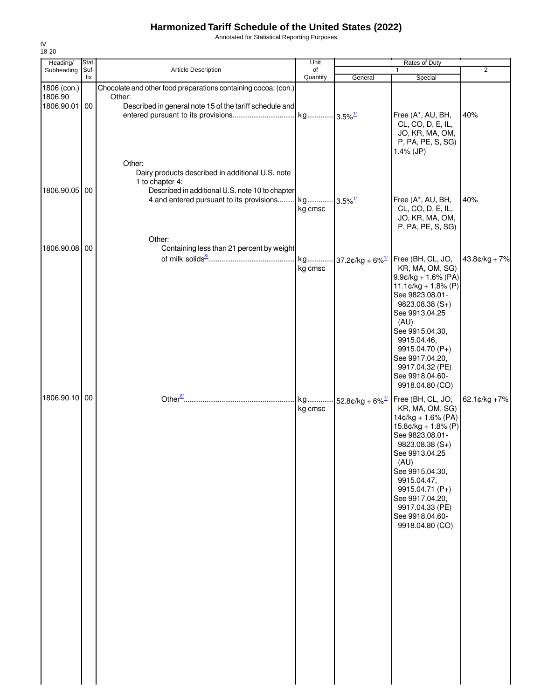Annotated for Statistical Reporting Purposes

| Heading/                                | Stat. |                                                                                                                                     | Unit                  |                                | <b>Rates of Duty</b>                                                                                                                                                                                                                                                                                    |                |
|-----------------------------------------|-------|-------------------------------------------------------------------------------------------------------------------------------------|-----------------------|--------------------------------|---------------------------------------------------------------------------------------------------------------------------------------------------------------------------------------------------------------------------------------------------------------------------------------------------------|----------------|
| Subheading                              | Suf-  | Article Description                                                                                                                 | of                    |                                | 1                                                                                                                                                                                                                                                                                                       | $\overline{2}$ |
| 1806 (con.)<br>1806.90<br>1806.90.01 00 | fix   | Chocolate and other food preparations containing cocoa: (con.)<br>Other:<br>Described in general note 15 of the tariff schedule and | Quantity              | General                        | Special                                                                                                                                                                                                                                                                                                 |                |
|                                         |       | Other:<br>Dairy products described in additional U.S. note                                                                          | kg 3.5% <sup>1/</sup> |                                | Free (A*, AU, BH,<br>CL, CO, D, E, IL,<br>JO, KR, MA, OM,<br>P, PA, PE, S, SG)<br>$1.4\%$ (JP)                                                                                                                                                                                                          | 40%            |
| 1806.90.05 00                           |       | 1 to chapter 4:<br>Described in additional U.S. note 10 to chapter<br>4 and entered pursuant to its provisions                      | kg<br>kg cmsc         | $3.5\%$ <sup>1/</sup>          | Free (A*, AU, BH,<br>CL, CO, D, E, IL,<br>JO, KR, MA, OM,<br>P, PA, PE, S, SG)                                                                                                                                                                                                                          | 40%            |
|                                         |       | Other:                                                                                                                              |                       |                                |                                                                                                                                                                                                                                                                                                         |                |
| 1806.90.08 00                           |       | Containing less than 21 percent by weight                                                                                           | kg<br>kg cmsc         | 37.2¢/kg + 6% $\frac{1}{2}$    | Free (BH, CL, JO,<br>KR, MA, OM, SG)<br>$9.9$ c/kg + 1.6% (PA)<br>$11.1¢/kg + 1.8% (P)$<br>See 9823.08.01-<br>$9823.08.38(S+)$<br>See 9913.04.25<br>(AU)<br>See 9915.04.30,<br>9915.04.46,<br>9915.04.70 (P+)<br>See 9917.04.20,<br>9917.04.32 (PE)<br>See 9918.04.60-                                  | 43.8¢/kg + 7%  |
| 1806.90.10 00                           |       |                                                                                                                                     | kg<br>kg cmsc         | 52.8¢/kg + $6\%$ <sup>1/</sup> | 9918.04.80 (CO)<br>Free (BH, CL, JO,<br>KR, MA, OM, SG)<br>14¢/kg + 1.6% (PA)<br>$15.8¢/kg + 1.8% (P)$<br>See 9823.08.01-<br>9823.08.38 (S+)<br>See 9913.04.25<br>(AU)<br>See 9915.04.30,<br>9915.04.47,<br>9915.04.71 (P+)<br>See 9917.04.20,<br>9917.04.33 (PE)<br>See 9918.04.60-<br>9918.04.80 (CO) | 62.1¢/kg +7%   |
|                                         |       |                                                                                                                                     |                       |                                |                                                                                                                                                                                                                                                                                                         |                |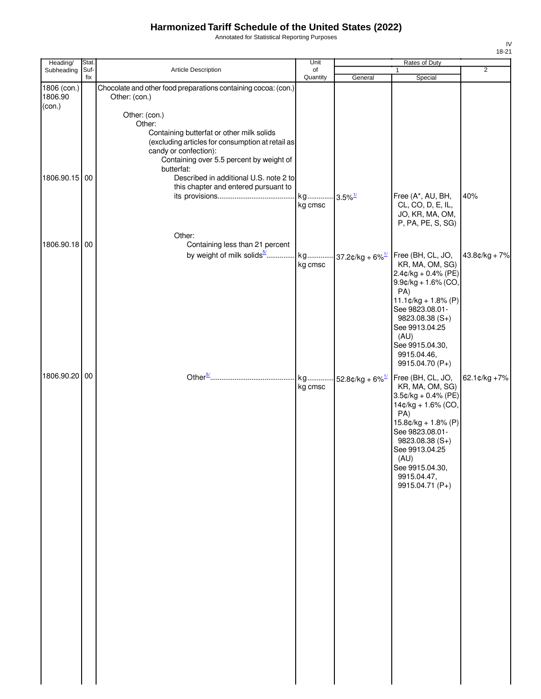Annotated for Statistical Reporting Purposes

| Heading/      | Stat. |                                                                       | Unit                  |                                | Rates of Duty                 |                  |
|---------------|-------|-----------------------------------------------------------------------|-----------------------|--------------------------------|-------------------------------|------------------|
| Subheading    | Suf-  | Article Description                                                   | of                    |                                |                               | $\overline{2}$   |
| 1806 (con.)   | fix   | Chocolate and other food preparations containing cocoa: (con.)        | Quantity              | General                        | Special                       |                  |
| 1806.90       |       | Other: (con.)                                                         |                       |                                |                               |                  |
| (con.)        |       |                                                                       |                       |                                |                               |                  |
|               |       | Other: (con.)                                                         |                       |                                |                               |                  |
|               |       | Other:                                                                |                       |                                |                               |                  |
|               |       | Containing butterfat or other milk solids                             |                       |                                |                               |                  |
|               |       | (excluding articles for consumption at retail as                      |                       |                                |                               |                  |
|               |       | candy or confection):<br>Containing over 5.5 percent by weight of     |                       |                                |                               |                  |
|               |       | butterfat:                                                            |                       |                                |                               |                  |
| 1806.90.15 00 |       | Described in additional U.S. note 2 to                                |                       |                                |                               |                  |
|               |       | this chapter and entered pursuant to                                  |                       |                                |                               |                  |
|               |       |                                                                       | kg 3.5% <sup>1/</sup> |                                | Free (A*, AU, BH,             | 40%              |
|               |       |                                                                       | kg cmsc               |                                | CL, CO, D, E, IL,             |                  |
|               |       |                                                                       |                       |                                | JO, KR, MA, OM,               |                  |
|               |       |                                                                       |                       |                                | P, PA, PE, S, SG)             |                  |
|               |       | Other:                                                                |                       |                                |                               |                  |
| 1806.90.18 00 |       | Containing less than 21 percent                                       |                       |                                |                               |                  |
|               |       | by weight of milk solids <sup>5/</sup> kg 37.2¢/kg + 6% <sup>1/</sup> |                       |                                | Free (BH, CL, JO,             | 43.8¢/kg + 7%    |
|               |       |                                                                       | kg cmsc               |                                | KR, MA, OM, SG)               |                  |
|               |       |                                                                       |                       |                                | $2.4$ ¢/kg + 0.4% (PE)        |                  |
|               |       |                                                                       |                       |                                | $9.9$ ¢/kg + 1.6% (CO,<br>PA) |                  |
|               |       |                                                                       |                       |                                | $11.1¢/kg + 1.8% (P)$         |                  |
|               |       |                                                                       |                       |                                | See 9823.08.01-               |                  |
|               |       |                                                                       |                       |                                | $9823.08.38(S+)$              |                  |
|               |       |                                                                       |                       |                                | See 9913.04.25                |                  |
|               |       |                                                                       |                       |                                | (AU)                          |                  |
|               |       |                                                                       |                       |                                | See 9915.04.30,               |                  |
|               |       |                                                                       |                       |                                | 9915.04.46,                   |                  |
|               |       |                                                                       |                       |                                | 9915.04.70 (P+)               |                  |
| 1806.90.20 00 |       |                                                                       | kg                    | 52.8¢/kg + $6\%$ <sup>1/</sup> | Free (BH, CL, JO,             | 62.1 $¢$ /kg +7% |
|               |       |                                                                       | kg cmsc               |                                | KR, MA, OM, SG)               |                  |
|               |       |                                                                       |                       |                                | $3.5¢/kg + 0.4% (PE)$         |                  |
|               |       |                                                                       |                       |                                | 14¢/kg + 1.6% (CO,            |                  |
|               |       |                                                                       |                       |                                | PA)<br>$15.8¢/kg + 1.8% (P)$  |                  |
|               |       |                                                                       |                       |                                | See 9823.08.01-               |                  |
|               |       |                                                                       |                       |                                | 9823.08.38 (S+)               |                  |
|               |       |                                                                       |                       |                                | See 9913.04.25                |                  |
|               |       |                                                                       |                       |                                | (AU)                          |                  |
|               |       |                                                                       |                       |                                | See 9915.04.30,               |                  |
|               |       |                                                                       |                       |                                | 9915.04.47,                   |                  |
|               |       |                                                                       |                       |                                | 9915.04.71 (P+)               |                  |
|               |       |                                                                       |                       |                                |                               |                  |
|               |       |                                                                       |                       |                                |                               |                  |
|               |       |                                                                       |                       |                                |                               |                  |
|               |       |                                                                       |                       |                                |                               |                  |
|               |       |                                                                       |                       |                                |                               |                  |
|               |       |                                                                       |                       |                                |                               |                  |
|               |       |                                                                       |                       |                                |                               |                  |
|               |       |                                                                       |                       |                                |                               |                  |
|               |       |                                                                       |                       |                                |                               |                  |
|               |       |                                                                       |                       |                                |                               |                  |
|               |       |                                                                       |                       |                                |                               |                  |
|               |       |                                                                       |                       |                                |                               |                  |
|               |       |                                                                       |                       |                                |                               |                  |
|               |       |                                                                       |                       |                                |                               |                  |
|               |       |                                                                       |                       |                                |                               |                  |
|               |       |                                                                       |                       |                                |                               |                  |
|               |       |                                                                       |                       |                                |                               |                  |
|               |       |                                                                       |                       |                                |                               |                  |
|               |       |                                                                       |                       |                                |                               |                  |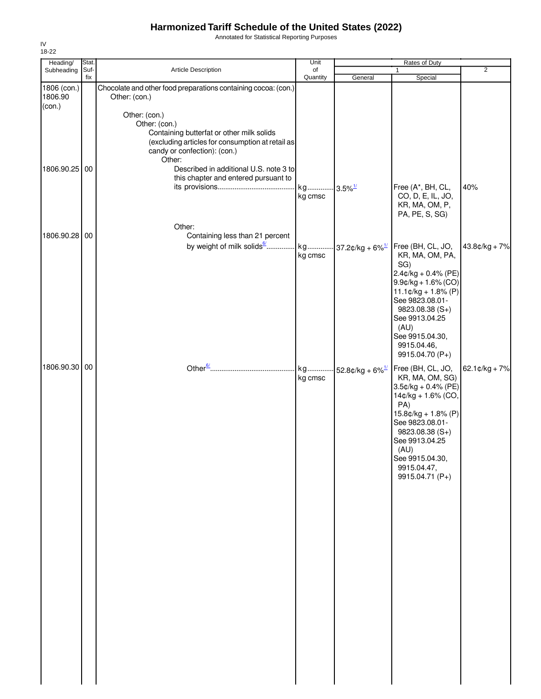Annotated for Statistical Reporting Purposes

| Heading/               | Stat.       |                                                                                  | Unit                  |                                | Rates of Duty                                   |                          |
|------------------------|-------------|----------------------------------------------------------------------------------|-----------------------|--------------------------------|-------------------------------------------------|--------------------------|
| Subheading             | Suf-<br>fix | Article Description                                                              | of<br>Quantity        |                                |                                                 | $\overline{2}$           |
| 1806 (con.)<br>1806.90 |             | Chocolate and other food preparations containing cocoa: (con.)<br>Other: (con.)  |                       | General                        | Special                                         |                          |
| (con.)                 |             |                                                                                  |                       |                                |                                                 |                          |
|                        |             | Other: (con.)<br>Other: (con.)                                                   |                       |                                |                                                 |                          |
|                        |             | Containing butterfat or other milk solids                                        |                       |                                |                                                 |                          |
|                        |             | (excluding articles for consumption at retail as<br>candy or confection): (con.) |                       |                                |                                                 |                          |
|                        |             | Other:                                                                           |                       |                                |                                                 |                          |
| 1806.90.25 00          |             | Described in additional U.S. note 3 to                                           |                       |                                |                                                 |                          |
|                        |             | this chapter and entered pursuant to                                             | kg 3.5% <sup>1/</sup> |                                | Free (A*, BH, CL,                               | 40%                      |
|                        |             |                                                                                  | kg cmsc               |                                | CO, D, E, IL, JO,                               |                          |
|                        |             |                                                                                  |                       |                                | KR, MA, OM, P,<br>PA, PE, S, SG)                |                          |
|                        |             | Other:                                                                           |                       |                                |                                                 |                          |
| 1806.90.28 00          |             | Containing less than 21 percent                                                  |                       |                                |                                                 |                          |
|                        |             | by weight of milk solids <sup>6</sup>                                            |                       | kg 37.2¢/kg + 6% <sup>1/</sup> | Free (BH, CL, JO,                               | $43.8¢/kg + 7%$          |
|                        |             |                                                                                  | kg cmsc               |                                | KR, MA, OM, PA,<br>SG)                          |                          |
|                        |             |                                                                                  |                       |                                | $2.4$ ¢/kg + 0.4% (PE)                          |                          |
|                        |             |                                                                                  |                       |                                | $9.9$ ¢/kg + 1.6% (CO)<br>$11.1¢/kg + 1.8% (P)$ |                          |
|                        |             |                                                                                  |                       |                                | See 9823.08.01-                                 |                          |
|                        |             |                                                                                  |                       |                                | 9823.08.38 (S+)<br>See 9913.04.25               |                          |
|                        |             |                                                                                  |                       |                                | (AU)                                            |                          |
|                        |             |                                                                                  |                       |                                | See 9915.04.30,                                 |                          |
|                        |             |                                                                                  |                       |                                | 9915.04.46,<br>9915.04.70 (P+)                  |                          |
| 1806.90.30 00          |             |                                                                                  |                       | kg 52.8¢/kg + 6% <sup>1/</sup> | Free (BH, CL, JO,                               | $62.1 \text{c/kg} + 7\%$ |
|                        |             |                                                                                  | kg cmsc               |                                | KR, MA, OM, SG)                                 |                          |
|                        |             |                                                                                  |                       |                                | 3.5¢/kg + 0.4% (PE)<br>14¢/kg + 1.6% (CO,       |                          |
|                        |             |                                                                                  |                       |                                | PA)                                             |                          |
|                        |             |                                                                                  |                       |                                | 15.8¢/kg + 1.8% (P)<br>See 9823.08.01-          |                          |
|                        |             |                                                                                  |                       |                                | 9823.08.38 (S+)                                 |                          |
|                        |             |                                                                                  |                       |                                | See 9913.04.25                                  |                          |
|                        |             |                                                                                  |                       |                                | (AU)<br>See 9915.04.30,                         |                          |
|                        |             |                                                                                  |                       |                                | 9915.04.47,                                     |                          |
|                        |             |                                                                                  |                       |                                | 9915.04.71 (P+)                                 |                          |
|                        |             |                                                                                  |                       |                                |                                                 |                          |
|                        |             |                                                                                  |                       |                                |                                                 |                          |
|                        |             |                                                                                  |                       |                                |                                                 |                          |
|                        |             |                                                                                  |                       |                                |                                                 |                          |
|                        |             |                                                                                  |                       |                                |                                                 |                          |
|                        |             |                                                                                  |                       |                                |                                                 |                          |
|                        |             |                                                                                  |                       |                                |                                                 |                          |
|                        |             |                                                                                  |                       |                                |                                                 |                          |
|                        |             |                                                                                  |                       |                                |                                                 |                          |
|                        |             |                                                                                  |                       |                                |                                                 |                          |
|                        |             |                                                                                  |                       |                                |                                                 |                          |
|                        |             |                                                                                  |                       |                                |                                                 |                          |
|                        |             |                                                                                  |                       |                                |                                                 |                          |
|                        |             |                                                                                  |                       |                                |                                                 |                          |
|                        |             |                                                                                  |                       |                                |                                                 |                          |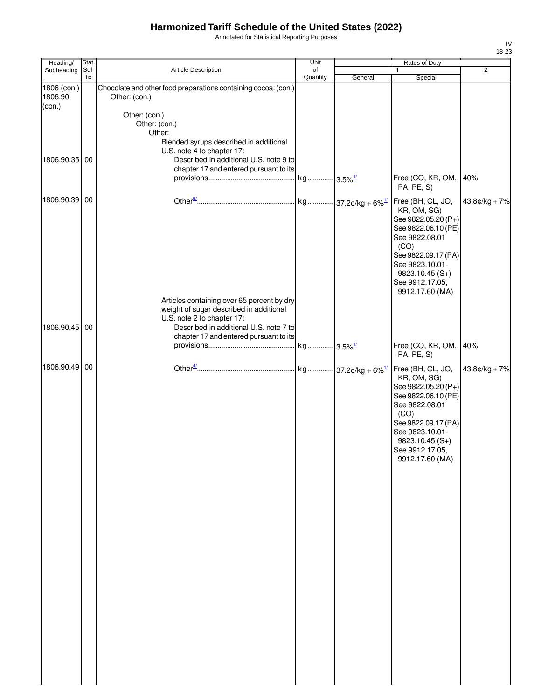Annotated for Statistical Reporting Purposes

| Heading/               | Stat.       |                                                                                                                | Unit           |         | Rates of Duty                                                                                                                                                                                                |                 |
|------------------------|-------------|----------------------------------------------------------------------------------------------------------------|----------------|---------|--------------------------------------------------------------------------------------------------------------------------------------------------------------------------------------------------------------|-----------------|
| Subheading             | Suf-<br>fix | Article Description                                                                                            | of<br>Quantity | General | 1<br>Special                                                                                                                                                                                                 | 2               |
| 1806 (con.)<br>1806.90 |             | Chocolate and other food preparations containing cocoa: (con.)<br>Other: (con.)                                |                |         |                                                                                                                                                                                                              |                 |
| (con.)                 |             | Other: (con.)                                                                                                  |                |         |                                                                                                                                                                                                              |                 |
|                        |             | Other: (con.)<br>Other:                                                                                        |                |         |                                                                                                                                                                                                              |                 |
| 1806.90.35 00          |             | Blended syrups described in additional<br>U.S. note 4 to chapter 17:<br>Described in additional U.S. note 9 to |                |         |                                                                                                                                                                                                              |                 |
|                        |             | chapter 17 and entered pursuant to its                                                                         |                |         | Free (CO, KR, OM,                                                                                                                                                                                            | 40%             |
| 1806.90.39 00          |             |                                                                                                                |                |         | PA, PE, S)<br>Free (BH, CL, JO,                                                                                                                                                                              | $43.8¢/kg + 7%$ |
|                        |             |                                                                                                                |                |         | KR, OM, SG)<br>See 9822.05.20 (P+)<br>See 9822.06.10 (PE)<br>See 9822.08.01<br>(CO)<br>See 9822.09.17 (PA)<br>See 9823.10.01-<br>$9823.10.45(S+)$<br>See 9912.17.05,<br>9912.17.60 (MA)                      |                 |
|                        |             | Articles containing over 65 percent by dry<br>weight of sugar described in additional                          |                |         |                                                                                                                                                                                                              |                 |
| 1806.90.45 00          |             | U.S. note 2 to chapter 17:<br>Described in additional U.S. note 7 to<br>chapter 17 and entered pursuant to its |                |         |                                                                                                                                                                                                              |                 |
|                        |             |                                                                                                                |                |         | Free (CO, KR, OM,<br>PA, PE, S)                                                                                                                                                                              | 40%             |
| 1806.90.49 00          |             |                                                                                                                |                |         | Free (BH, CL, JO,<br>KR, OM, SG)<br>See 9822.05.20 (P+)<br>See 9822.06.10 (PE)<br>See 9822.08.01<br>(CO)<br>See 9822.09.17 (PA)<br>See 9823.10.01-<br>$9823.10.45(S+)$<br>See 9912.17.05,<br>9912.17.60 (MA) | $43.8¢/kg + 7%$ |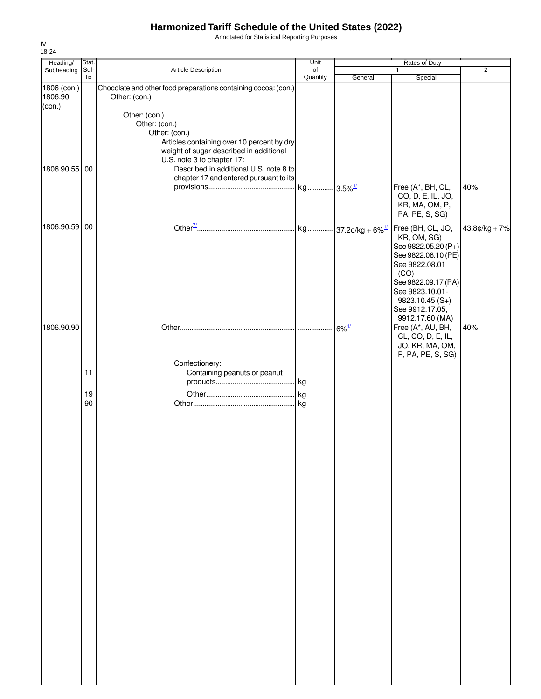Annotated for Statistical Reporting Purposes

| Heading/               | Stat.       |                                                                                       | Unit<br>Rates of Duty |         |                                     |                 |
|------------------------|-------------|---------------------------------------------------------------------------------------|-----------------------|---------|-------------------------------------|-----------------|
| Subheading             | Suf-<br>fix | Article Description                                                                   | of<br>Quantity        | General | $\mathbf{1}$<br>Special             | $\overline{2}$  |
| 1806 (con.)<br>1806.90 |             | Chocolate and other food preparations containing cocoa: (con.)<br>Other: (con.)       |                       |         |                                     |                 |
| (con.)                 |             |                                                                                       |                       |         |                                     |                 |
|                        |             | Other: (con.)                                                                         |                       |         |                                     |                 |
|                        |             | Other: (con.)                                                                         |                       |         |                                     |                 |
|                        |             | Other: (con.)                                                                         |                       |         |                                     |                 |
|                        |             | Articles containing over 10 percent by dry<br>weight of sugar described in additional |                       |         |                                     |                 |
|                        |             | U.S. note 3 to chapter 17:                                                            |                       |         |                                     |                 |
| 1806.90.55 00          |             | Described in additional U.S. note 8 to                                                |                       |         |                                     |                 |
|                        |             | chapter 17 and entered pursuant to its                                                |                       |         |                                     |                 |
|                        |             |                                                                                       |                       |         | Free (A*, BH, CL,                   | 40%             |
|                        |             |                                                                                       |                       |         | CO, D, E, IL, JO,                   |                 |
|                        |             |                                                                                       |                       |         | KR, MA, OM, P,<br>PA, PE, S, SG)    |                 |
|                        |             |                                                                                       |                       |         |                                     |                 |
| 1806.90.59 00          |             |                                                                                       |                       |         | Free (BH, CL, JO,                   | $43.8¢/kg + 7%$ |
|                        |             |                                                                                       |                       |         | KR, OM, SG)<br>See 9822.05.20 (P+)  |                 |
|                        |             |                                                                                       |                       |         | See 9822.06.10 (PE)                 |                 |
|                        |             |                                                                                       |                       |         | See 9822.08.01                      |                 |
|                        |             |                                                                                       |                       |         | (CO)                                |                 |
|                        |             |                                                                                       |                       |         | See 9822.09.17 (PA)                 |                 |
|                        |             |                                                                                       |                       |         | See 9823.10.01-                     |                 |
|                        |             |                                                                                       |                       |         | $9823.10.45(S+)$<br>See 9912.17.05, |                 |
|                        |             |                                                                                       |                       |         | 9912.17.60 (MA)                     |                 |
| 1806.90.90             |             |                                                                                       |                       |         | Free (A*, AU, BH,                   | 40%             |
|                        |             |                                                                                       |                       |         | CL, CO, D, E, IL,                   |                 |
|                        |             |                                                                                       |                       |         | JO, KR, MA, OM,                     |                 |
|                        |             | Confectionery:                                                                        |                       |         | P, PA, PE, S, SG)                   |                 |
|                        | 11          | Containing peanuts or peanut                                                          |                       |         |                                     |                 |
|                        |             |                                                                                       |                       |         |                                     |                 |
|                        | 19          |                                                                                       |                       |         |                                     |                 |
|                        | 90          |                                                                                       |                       |         |                                     |                 |
|                        |             |                                                                                       |                       |         |                                     |                 |
|                        |             |                                                                                       |                       |         |                                     |                 |
|                        |             |                                                                                       |                       |         |                                     |                 |
|                        |             |                                                                                       |                       |         |                                     |                 |
|                        |             |                                                                                       |                       |         |                                     |                 |
|                        |             |                                                                                       |                       |         |                                     |                 |
|                        |             |                                                                                       |                       |         |                                     |                 |
|                        |             |                                                                                       |                       |         |                                     |                 |
|                        |             |                                                                                       |                       |         |                                     |                 |
|                        |             |                                                                                       |                       |         |                                     |                 |
|                        |             |                                                                                       |                       |         |                                     |                 |
|                        |             |                                                                                       |                       |         |                                     |                 |
|                        |             |                                                                                       |                       |         |                                     |                 |
|                        |             |                                                                                       |                       |         |                                     |                 |
|                        |             |                                                                                       |                       |         |                                     |                 |
|                        |             |                                                                                       |                       |         |                                     |                 |
|                        |             |                                                                                       |                       |         |                                     |                 |
|                        |             |                                                                                       |                       |         |                                     |                 |
|                        |             |                                                                                       |                       |         |                                     |                 |
|                        |             |                                                                                       |                       |         |                                     |                 |
|                        |             |                                                                                       |                       |         |                                     |                 |
|                        |             |                                                                                       |                       |         |                                     |                 |
|                        |             |                                                                                       |                       |         |                                     |                 |
|                        |             |                                                                                       |                       |         |                                     |                 |
|                        |             |                                                                                       |                       |         |                                     |                 |
|                        |             |                                                                                       |                       |         |                                     |                 |